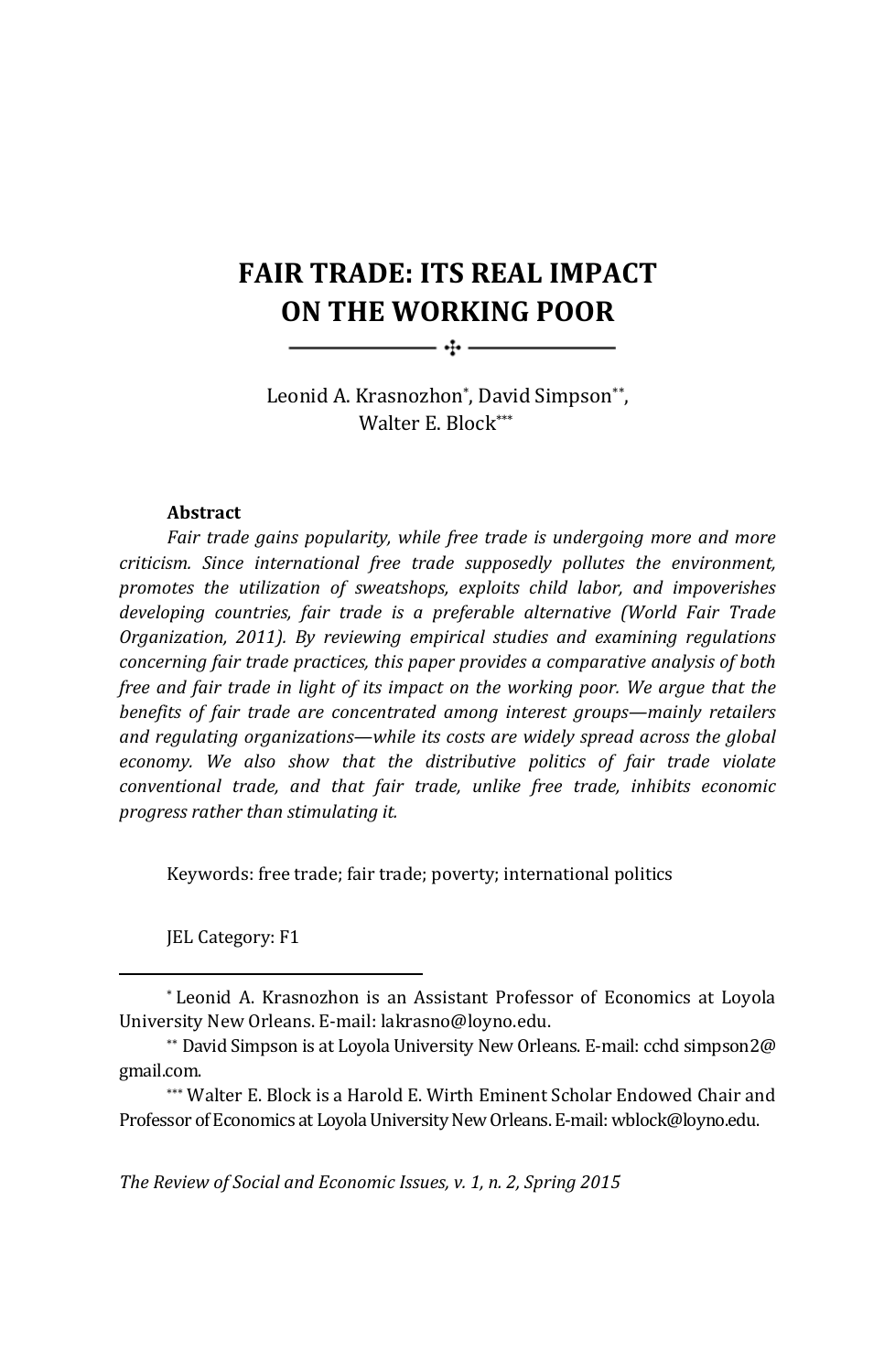# **FAIR TRADE: ITS REAL IMPACT ON THE WORKING POOR**

 $\overline{\phantom{a}}$   $\overline{\phantom{a}}$   $\overline{\phantom{a}}$   $\overline{\phantom{a}}$   $\overline{\phantom{a}}$   $\overline{\phantom{a}}$   $\overline{\phantom{a}}$   $\overline{\phantom{a}}$   $\overline{\phantom{a}}$   $\overline{\phantom{a}}$   $\overline{\phantom{a}}$   $\overline{\phantom{a}}$   $\overline{\phantom{a}}$   $\overline{\phantom{a}}$   $\overline{\phantom{a}}$   $\overline{\phantom{a}}$   $\overline{\phantom{a}}$   $\overline{\phantom{a}}$   $\overline{\$ 

Leonid A. Krasnozhon\*, David Simpson\*\*, Walter E. Block\*\*\*

#### **Abstract**

*Fair trade gains popularity, while free trade is undergoing more and more criticism. Since international free trade supposedly pollutes the environment, promotes the utilization of sweatshops, exploits child labor, and impoverishes developing countries, fair trade is a preferable alternative (World Fair Trade Organization, 2011). By reviewing empirical studies and examining regulations concerning fair trade practices, this paper provides a comparative analysis of both free and fair trade in light of its impact on the working poor. We argue that the benefits of fair trade are concentrated among interest groups—mainly retailers and regulating organizations—while its costs are widely spread across the global economy. We also show that the distributive politics of fair trade violate conventional trade, and that fair trade, unlike free trade, inhibits economic progress rather than stimulating it.*

Keywords: free trade; fair trade; poverty; international politics

JEL Category: F1

*The Review of Social and Economic Issues, v. 1, n. 2, Spring 2015*

<sup>\*</sup> Leonid A. Krasnozhon is an Assistant Professor of Economics at Loyola University New Orleans. E‐mail: lakrasno@loyno.edu.

<sup>\*\*</sup> David Simpson is at Loyola University New Orleans. E‐mail: cchd simpson2@ gmail.com.

<sup>\*\*\*</sup> Walter E. Block is a Harold E. Wirth Eminent Scholar Endowed Chair and Professor of Economics at Loyola University New Orleans. E‐mail: wblock@loyno.edu. <sup>3</sup>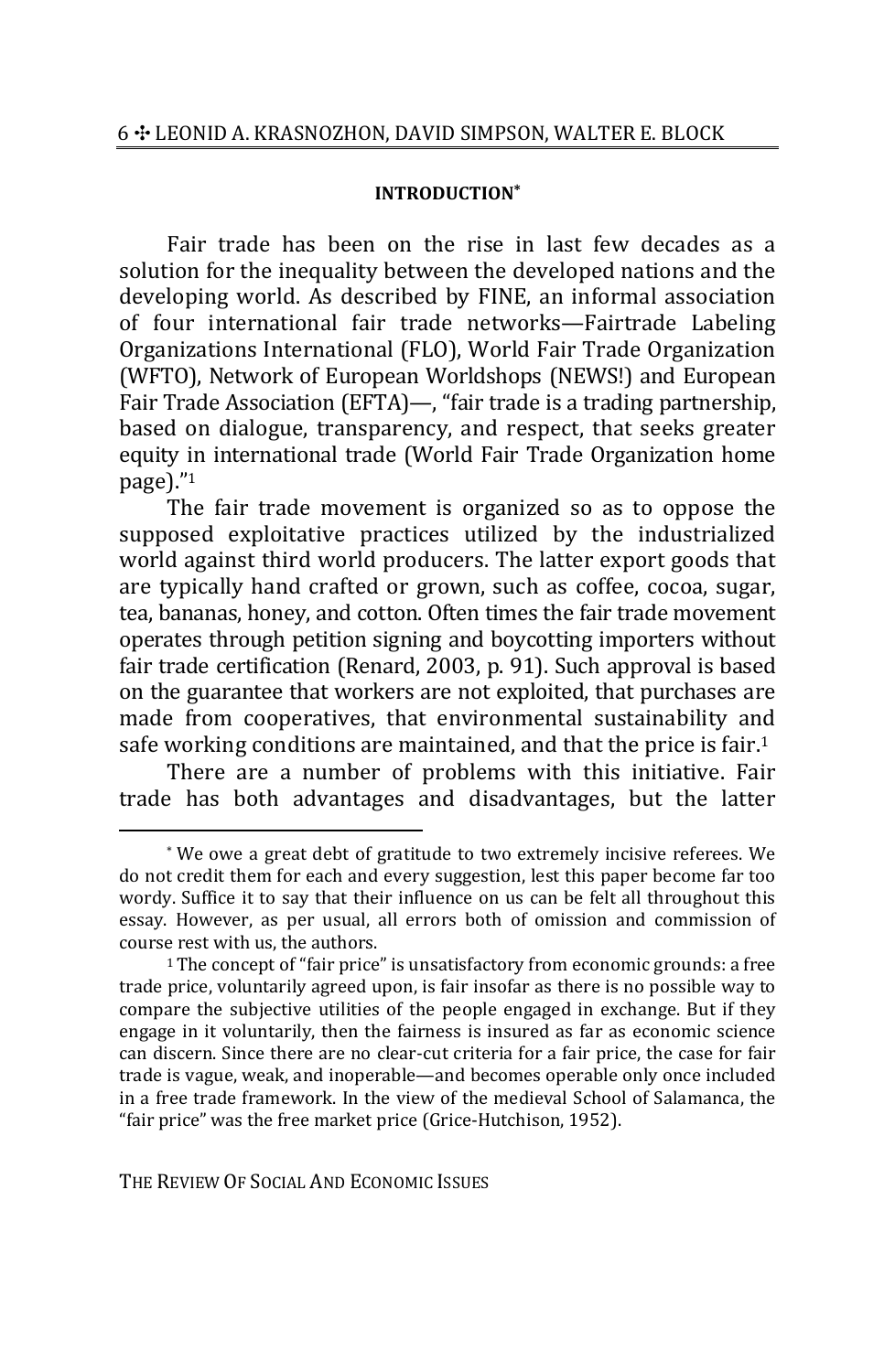#### **INTRODUCTION\***

Fair trade has been on the rise in last few decades as a solution for the inequality between the developed nations and the developing world. As described by FINE, an informal association of four international fair trade networks—Fairtrade Labeling Organizations International (FLO), World Fair Trade Organization (WFTO), Network of European Worldshops (NEWS!) and European Fair Trade Association (EFTA)—, "fair trade is a trading partnership, based on dialogue, transparency, and respect, that seeks greater equity in international trade (World Fair Trade Organization home  $page)$ ."1

The fair trade movement is organized so as to oppose the supposed exploitative practices utilized by the industrialized world against third world producers. The latter export goods that are typically hand crafted or grown, such as coffee, cocoa, sugar, tea, bananas, honey, and cotton. Often times the fair trade movement operates through petition signing and boycotting importers without fair trade certification (Renard, 2003, p. 91). Such approval is based on the guarantee that workers are not exploited, that purchases are made from cooperatives, that environmental sustainability and safe working conditions are maintained, and that the price is fair. $1$ 

There are a number of problems with this initiative. Fair trade has both advantages and disadvantages, but the latter

THE REVIEW OF SOCIAL AND ECONOMIC ISSUES

<sup>\*</sup> We owe a great debt of gratitude to two extremely incisive referees. We do not credit them for each and every suggestion, lest this paper become far too wordy. Suffice it to say that their influence on us can be felt all throughout this essay. However, as per usual, all errors both of omission and commission of course rest with us, the authors.

<sup>&</sup>lt;sup>1</sup>The concept of "fair price" is unsatisfactory from economic grounds: a free trade price, voluntarily agreed upon, is fair insofar as there is no possible way to compare the subjective utilities of the people engaged in exchange. But if they engage in it voluntarily, then the fairness is insured as far as economic science can discern. Since there are no clear‐cut criteria for a fair price, the case for fair trade is vague, weak, and inoperable—and becomes operable only once included in a free trade framework. In the view of the medieval School of Salamanca, the "fair price" was the free market price (Grice‐Hutchison, 1952). <sup>4</sup>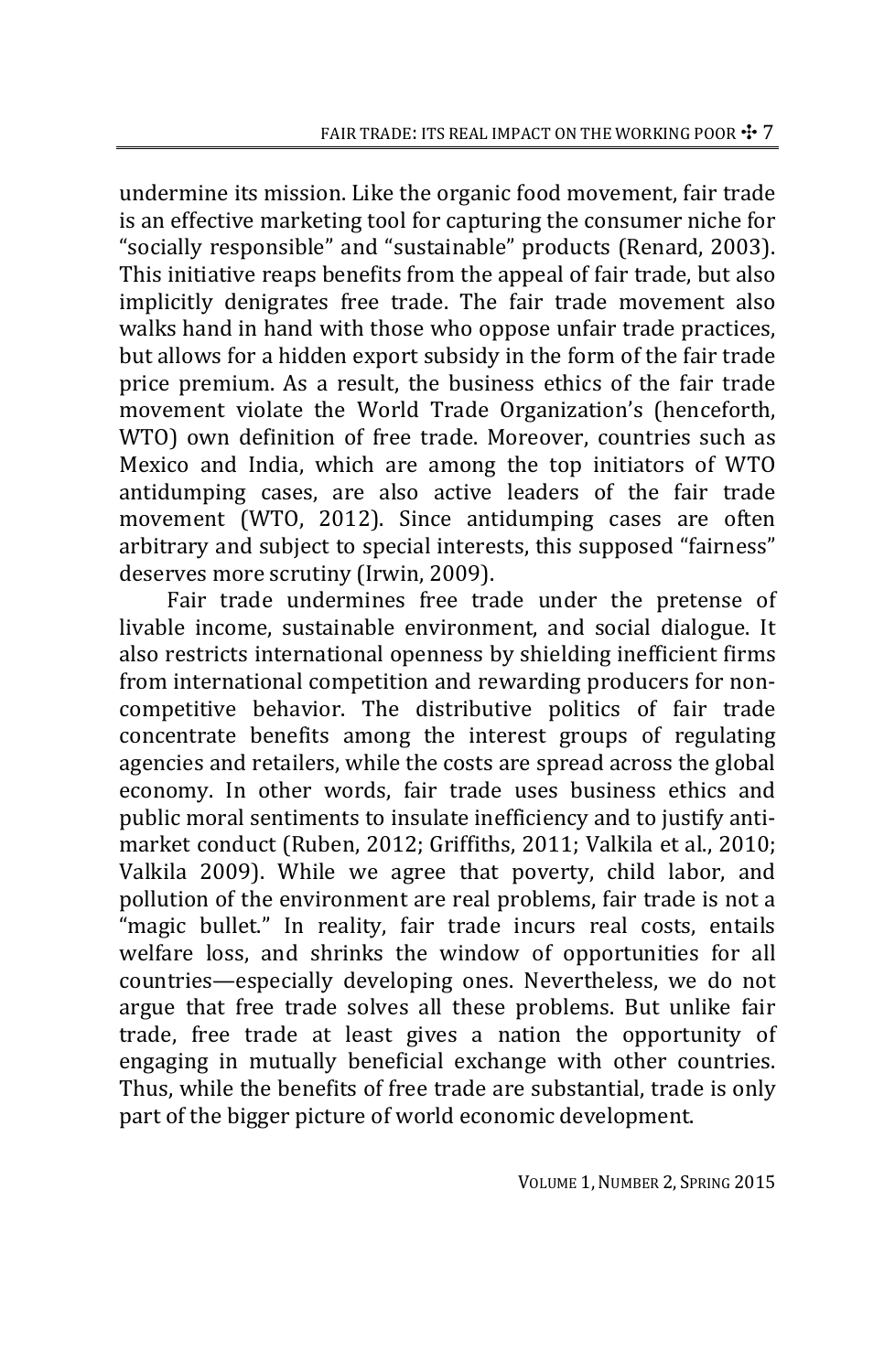undermine its mission. Like the organic food movement, fair trade is an effective marketing tool for capturing the consumer niche for "socially responsible" and "sustainable" products (Renard, 2003). This initiative reaps benefits from the appeal of fair trade, but also implicitly denigrates free trade. The fair trade movement also walks hand in hand with those who oppose unfair trade practices, but allows for a hidden export subsidy in the form of the fair trade price premium. As a result, the business ethics of the fair trade movement violate the World Trade Organization's (henceforth, WTO) own definition of free trade. Moreover, countries such as Mexico and India, which are among the top initiators of WTO antidumping cases, are also active leaders of the fair trade movement (WTO, 2012). Since antidumping cases are often arbitrary and subject to special interests, this supposed "fairness" deserves more scrutiny (Irwin, 2009).

Fair trade undermines free trade under the pretense of livable income, sustainable environment, and social dialogue. It also restricts international openness by shielding inefficient firms from international competition and rewarding producers for non‐ competitive behavior. The distributive politics of fair trade concentrate benefits among the interest groups of regulating agencies and retailers, while the costs are spread across the global economy. In other words, fair trade uses business ethics and public moral sentiments to insulate inefficiency and to justify anti‐ market conduct (Ruben, 2012; Griffiths, 2011; Valkila et al., 2010; Valkila 2009). While we agree that poverty, child labor, and pollution of the environment are real problems, fair trade is not a "magic bullet." In reality, fair trade incurs real costs, entails welfare loss, and shrinks the window of opportunities for all countries—especially developing ones. Nevertheless, we do not argue that free trade solves all these problems. But unlike fair trade, free trade at least gives a nation the opportunity of engaging in mutually beneficial exchange with other countries. Thus, while the benefits of free trade are substantial, trade is only part of the bigger picture of world economic development.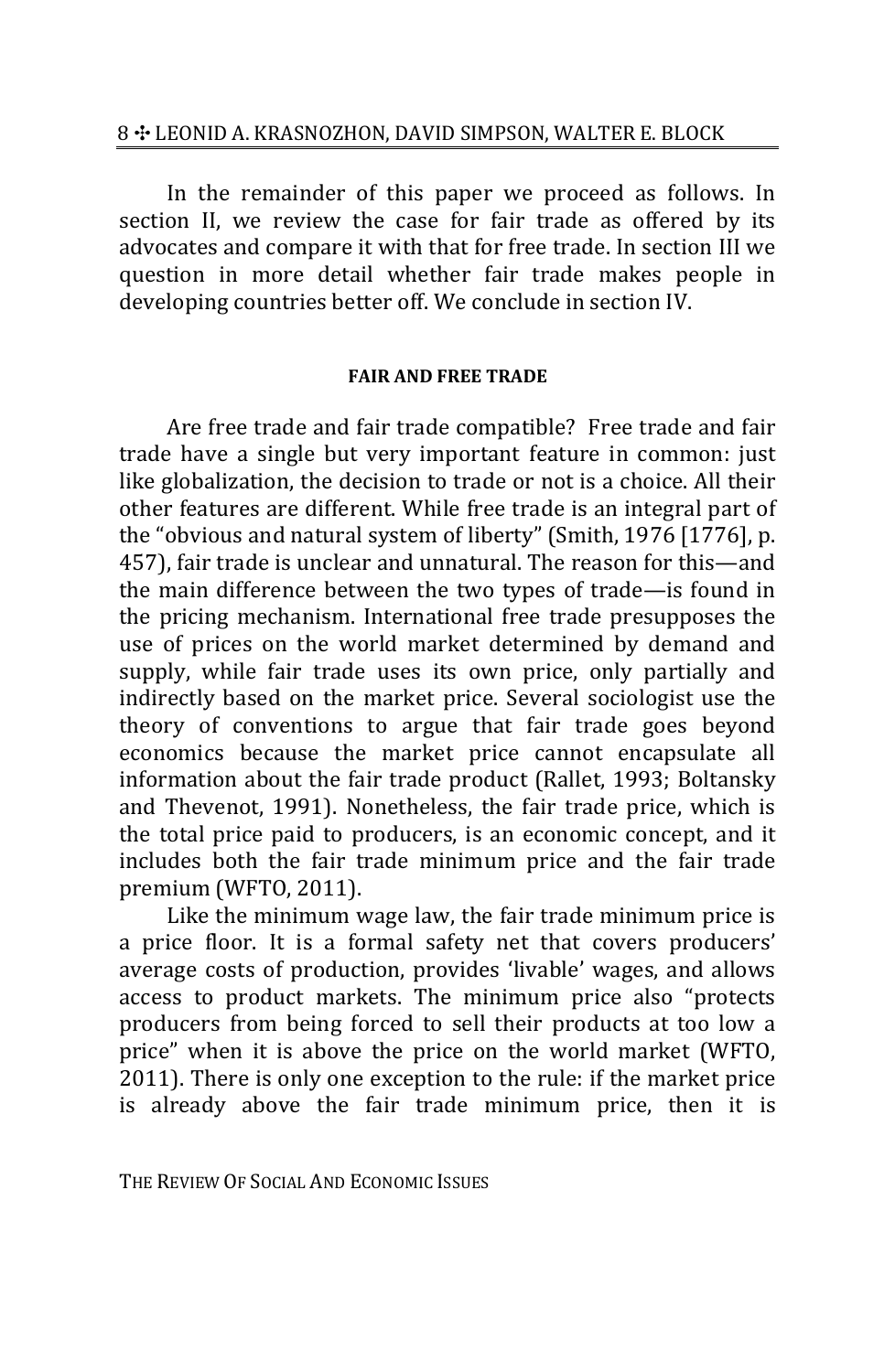In the remainder of this paper we proceed as follows. In section II, we review the case for fair trade as offered by its advocates and compare it with that for free trade. In section III we question in more detail whether fair trade makes people in developing countries better off. We conclude in section IV.

# **FAIR AND FREE TRADE**

Are free trade and fair trade compatible?Free trade and fair trade have a single but very important feature in common: just like globalization, the decision to trade or not is a choice. All their other features are different. While free trade is an integral part of the "obvious and natural system of liberty" (Smith, 1976 [1776], p. 457), fair trade is unclear and unnatural. The reason for this—and the main difference between the two types of trade—is found in the pricing mechanism. International free trade presupposes the use of prices on the world market determined by demand and supply, while fair trade uses its own price, only partially and indirectly based on the market price. Several sociologist use the theory of conventions to argue that fair trade goes beyond economics because the market price cannot encapsulate all information about the fair trade product (Rallet, 1993; Boltansky and Thevenot, 1991). Nonetheless, the fair trade price, which is the total price paid to producers, is an economic concept, and it includes both the fair trade minimum price and the fair trade premium (WFTO, 2011).

Like the minimum wage law, the fair trade minimum price is a price floor. It is a formal safety net that covers producers' average costs of production, provides 'livable' wages, and allows access to product markets. The minimum price also "protects producers from being forced to sell their products at too low a price" when it is above the price on the world market (WFTO, 2011). There is only one exception to the rule: if the market price is already above the fair trade minimum price, then it is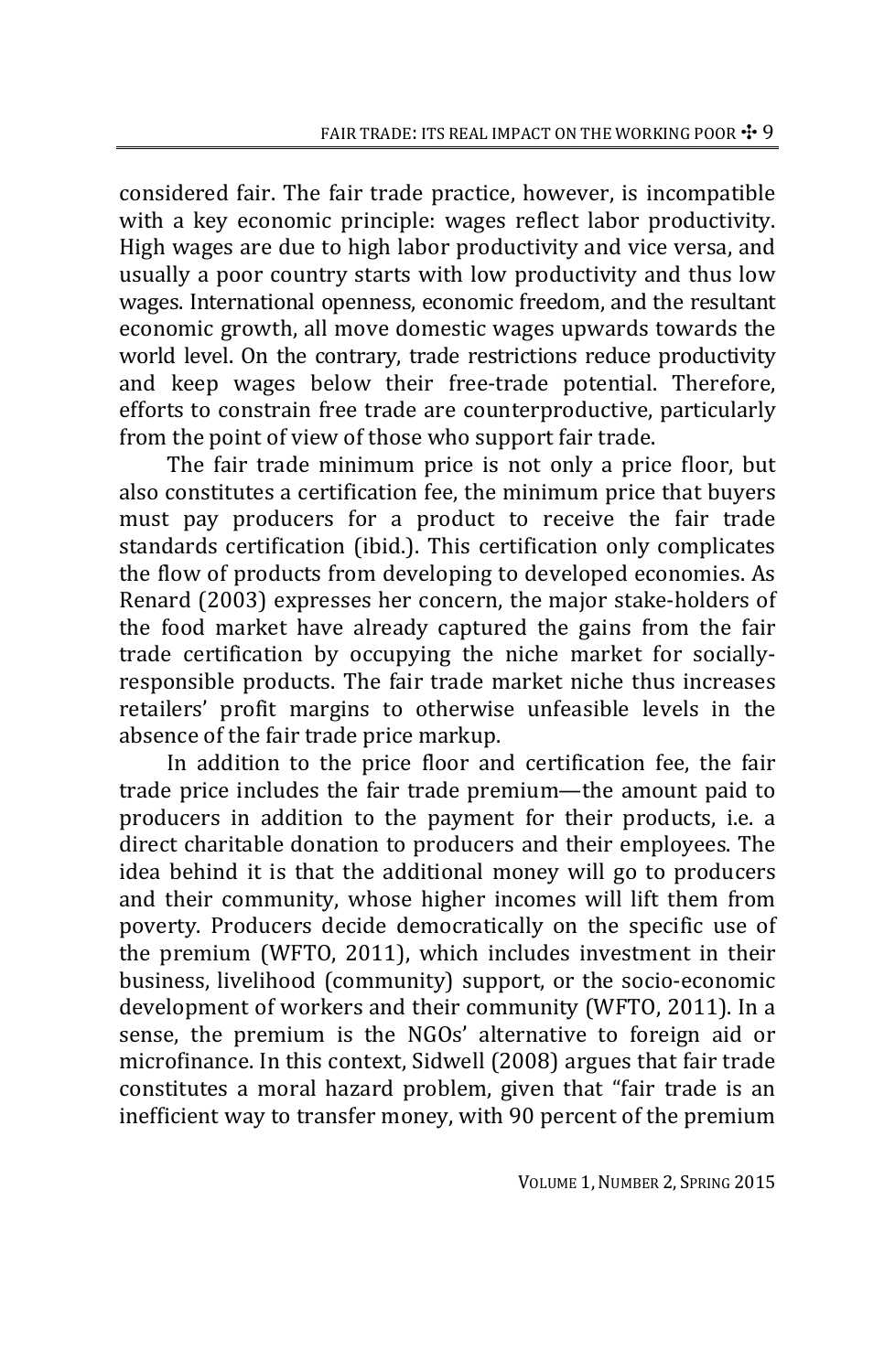considered fair. The fair trade practice, however, is incompatible with a key economic principle: wages reflect labor productivity. High wages are due to high labor productivity and vice versa, and usually a poor country starts with low productivity and thus low wages. International openness, economic freedom, and the resultant economic growth, all move domestic wages upwards towards the world level. On the contrary, trade restrictions reduce productivity and keep wages below their free‐trade potential. Therefore, efforts to constrain free trade are counterproductive, particularly from the point of view of those who support fair trade.

The fair trade minimum price is not only a price floor, but also constitutes a certification fee, the minimum price that buyers must pay producers for a product to receive the fair trade standards certification (ibid.). This certification only complicates the flow of products from developing to developed economies. As Renard (2003) expresses her concern, the major stake‐holders of the food market have already captured the gains from the fair trade certification by occupying the niche market for socially‐ responsible products. The fair trade market niche thus increases retailers' profit margins to otherwise unfeasible levels in the absence of the fair trade price markup.

In addition to the price floor and certification fee, the fair trade price includes the fair trade premium—the amount paid to producers in addition to the payment for their products, i.e. a direct charitable donation to producers and their employees. The idea behind it is that the additional money will go to producers and their community, whose higher incomes will lift them from poverty. Producers decide democratically on the specific use of the premium (WFTO, 2011), which includes investment in their business, livelihood (community) support, or the socio‐economic development of workers and their community (WFTO, 2011). In a sense, the premium is the NGOs' alternative to foreign aid or microfinance. In this context, Sidwell (2008) argues that fair trade constitutes a moral hazard problem, given that "fair trade is an inefficient way to transfer money, with 90 percent of the premium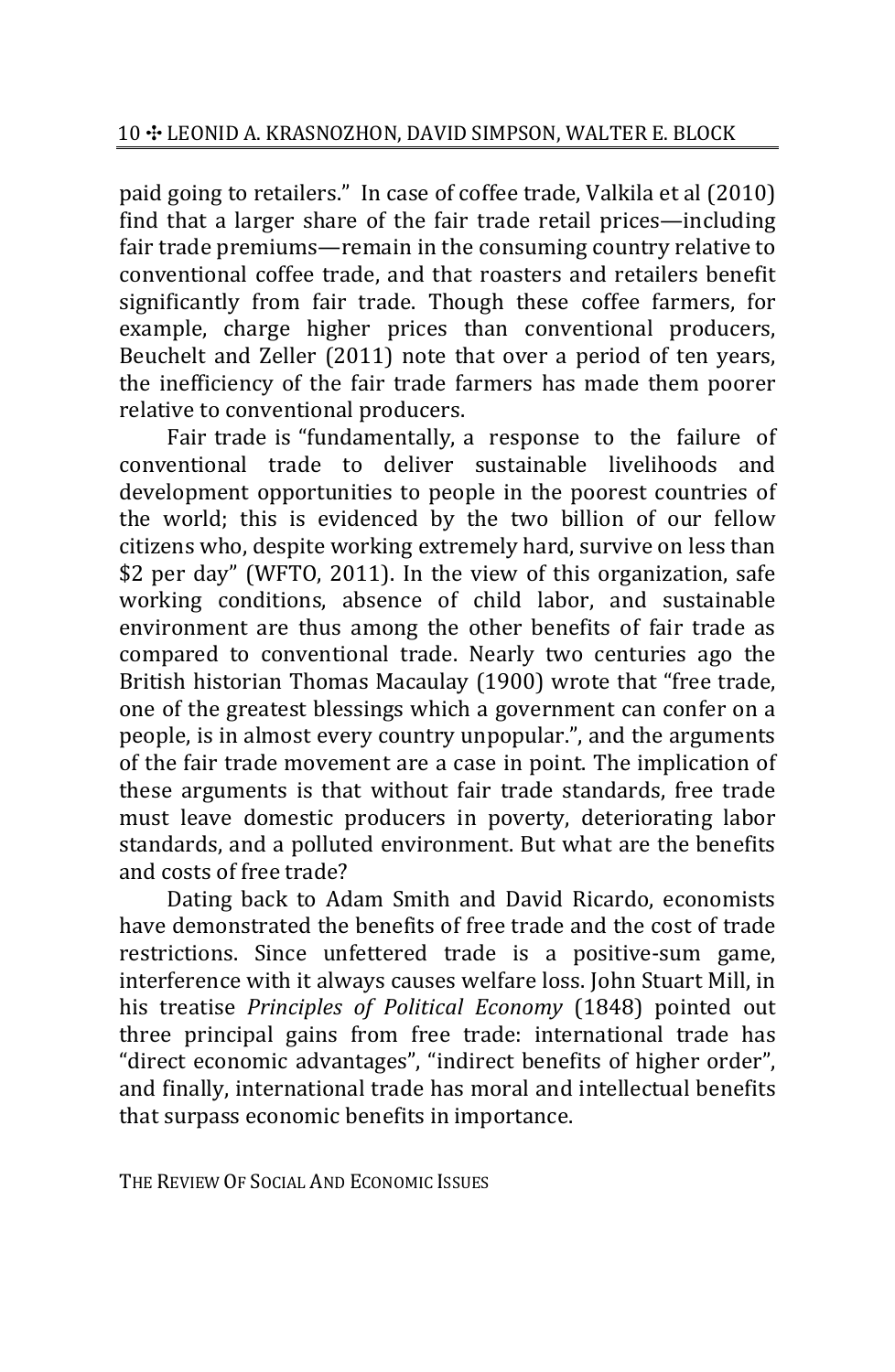paid going to retailers." In case of coffee trade, Valkila et al (2010) find that a larger share of the fair trade retail prices—including fair trade premiums—remain in the consuming country relative to conventional coffee trade, and that roasters and retailers benefit significantly from fair trade. Though these coffee farmers, for example, charge higher prices than conventional producers, Beuchelt and Zeller (2011) note that over a period of ten years, the inefficiency of the fair trade farmers has made them poorer relative to conventional producers.

Fair trade is "fundamentally, a response to the failure of conventional trade to deliver sustainable livelihoods and development opportunities to people in the poorest countries of the world; this is evidenced by the two billion of our fellow citizens who, despite working extremely hard, survive on less than \$2 per day" (WFTO, 2011). In the view of this organization, safe working conditions, absence of child labor, and sustainable environment are thus among the other benefits of fair trade as compared to conventional trade. Nearly two centuries ago the British historian Thomas Macaulay (1900) wrote that "free trade, one of the greatest blessings which a government can confer on a people, is in almost every country unpopular.", and the arguments of the fair trade movement are a case in point. The implication of these arguments is that without fair trade standards, free trade must leave domestic producers in poverty, deteriorating labor standards, and a polluted environment. But what are the benefits and costs of free trade?

Dating back to Adam Smith and David Ricardo, economists have demonstrated the benefits of free trade and the cost of trade restrictions. Since unfettered trade is a positive‐sum game, interference with it always causes welfare loss. John Stuart Mill, in his treatise *Principles of Political Economy* (1848) pointed out three principal gains from free trade: international trade has "direct economic advantages", "indirect benefits of higher order", and finally, international trade has moral and intellectual benefits that surpass economic benefits in importance.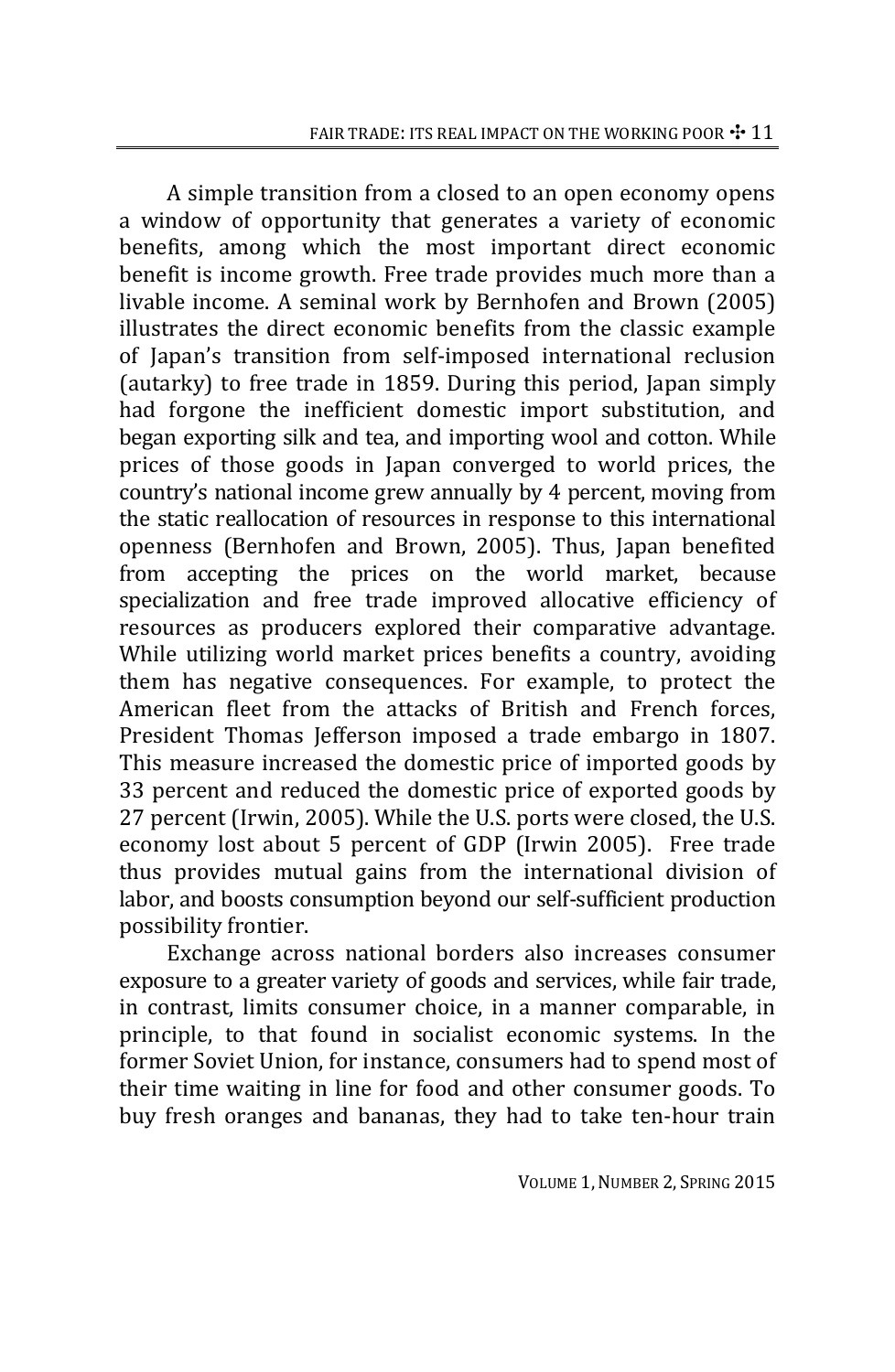A simple transition from a closed to an open economy opens a window of opportunity that generates a variety of economic benefits, among which the most important direct economic benefit is income growth. Free trade provides much more than a livable income. A seminal work by Bernhofen and Brown (2005) illustrates the direct economic benefits from the classic example of Japan's transition from self‐imposed international reclusion (autarky) to free trade in 1859. During this period, Japan simply had forgone the inefficient domestic import substitution, and began exporting silk and tea, and importing wool and cotton. While prices of those goods in Japan converged to world prices, the country's national income grew annually by 4 percent, moving from the static reallocation of resources in response to this international openness (Bernhofen and Brown, 2005). Thus, Japan benefited from accepting the prices on the world market, because specialization and free trade improved allocative efficiency of resources as producers explored their comparative advantage. While utilizing world market prices benefits a country, avoiding them has negative consequences. For example, to protect the American fleet from the attacks of British and French forces, President Thomas Jefferson imposed a trade embargo in 1807. This measure increased the domestic price of imported goods by 33 percent and reduced the domestic price of exported goods by 27 percent (Irwin, 2005). While the U.S. ports were closed, the U.S. economy lost about 5 percent of GDP (Irwin 2005). Free trade thus provides mutual gains from the international division of labor, and boosts consumption beyond our self‐sufficient production possibility frontier.

Exchange across national borders also increases consumer exposure to a greater variety of goods and services, while fair trade, in contrast, limits consumer choice, in a manner comparable, in principle, to that found in socialist economic systems. In the former Soviet Union, for instance, consumers had to spend most of their time waiting in line for food and other consumer goods. To buy fresh oranges and bananas, they had to take ten‐hour train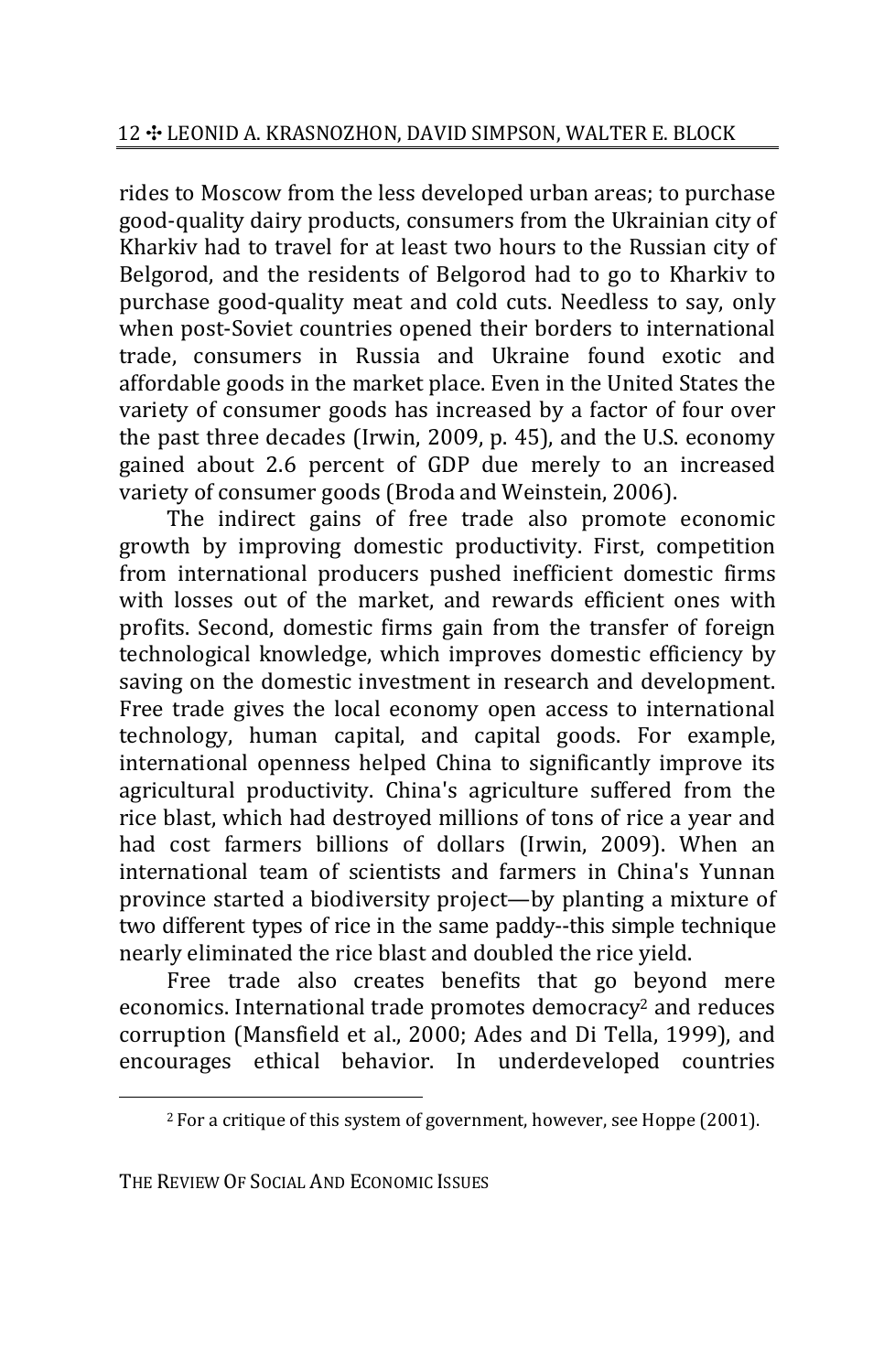rides to Moscow from the less developed urban areas; to purchase good‐quality dairy products, consumers from the Ukrainian city of Kharkiv had to travel for at least two hours to the Russian city of Belgorod, and the residents of Belgorod had to go to Kharkiv to purchase good‐quality meat and cold cuts. Needless to say, only when post-Soviet countries opened their borders to international trade, consumers in Russia and Ukraine found exotic and affordable goods in the market place. Even in the United States the variety of consumer goods has increased by a factor of four over the past three decades (Irwin, 2009, p. 45), and the U.S. economy gained about 2.6 percent of GDP due merely to an increased variety of consumer goods (Broda and Weinstein, 2006).

The indirect gains of free trade also promote economic growth by improving domestic productivity. First, competition from international producers pushed inefficient domestic firms with losses out of the market, and rewards efficient ones with profits. Second, domestic firms gain from the transfer of foreign technological knowledge, which improves domestic efficiency by saving on the domestic investment in research and development. Free trade gives the local economy open access to international technology, human capital, and capital goods. For example, international openness helped China to significantly improve its agricultural productivity. China's agriculture suffered from the rice blast, which had destroyed millions of tons of rice a year and had cost farmers billions of dollars (Irwin, 2009). When an international team of scientists and farmers in China's Yunnan province started a biodiversity project—by planting a mixture of two different types of rice in the same paddy--this simple technique nearly eliminated the rice blast and doubled the rice yield. 5

Free trade also creates benefits that go beyond mere economics. International trade promotes democracy<sup>2</sup> and reduces corruption (Mansfield et al., 2000; Ades and Di Tella, 1999), and encourages ethical behavior. In underdeveloped countries

THE REVIEW OF SOCIAL AND ECONOMIC ISSUES

 $2$  For a critique of this system of government, however, see Hoppe (2001).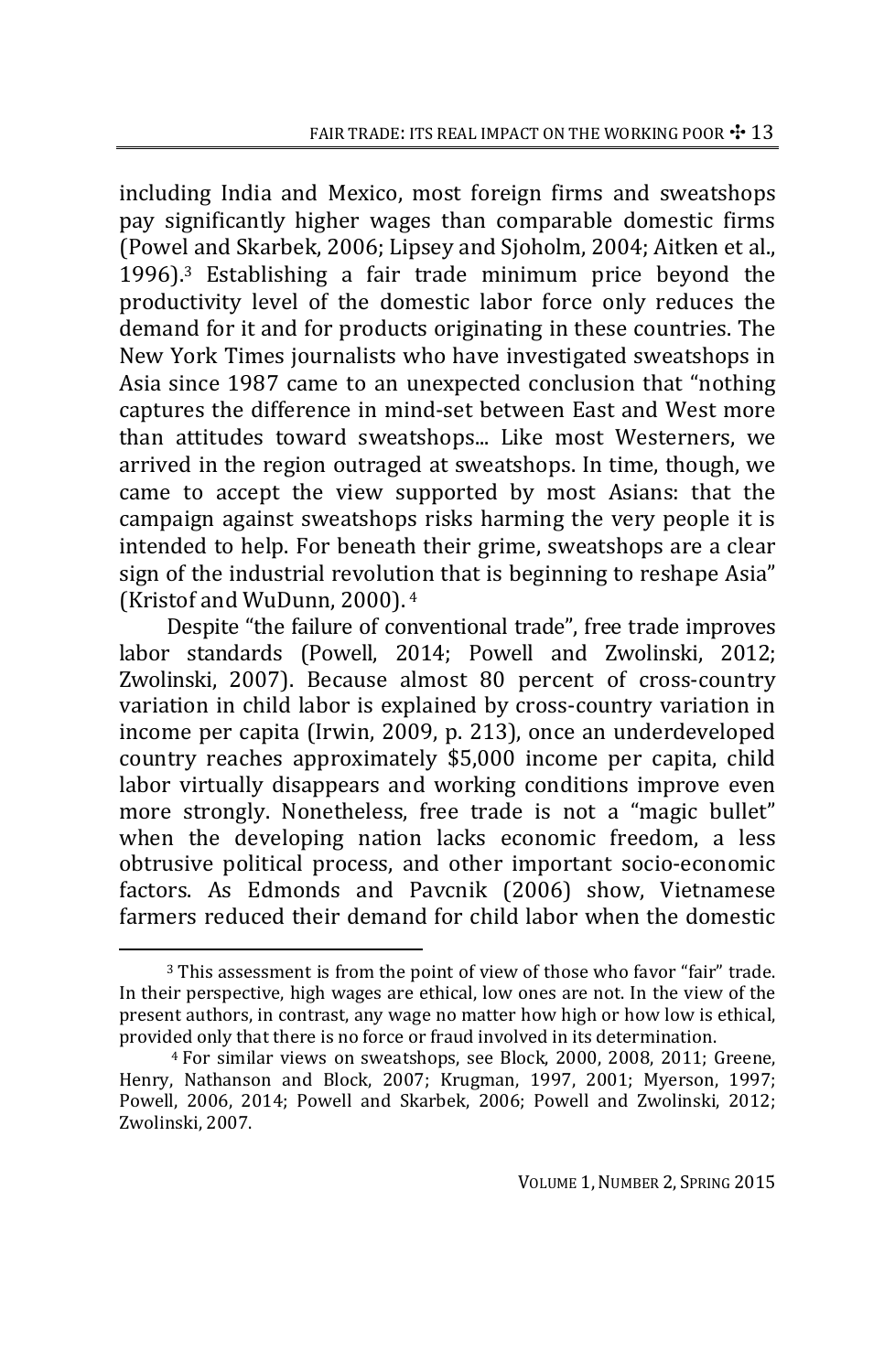including India and Mexico, most foreign firms and sweatshops pay significantly higher wages than comparable domestic firms (Powel and Skarbek, 2006; Lipsey and Sjoholm, 2004; Aitken et al., 1996).3 Establishing a fair trade minimum price beyond the productivity level of the domestic labor force only reduces the demand for it and for products originating in these countries. The New York Times journalists who have investigated sweatshops in Asia since 1987 came to an unexpected conclusion that "nothing captures the difference in mind‐set between East and West more than attitudes toward sweatshops... Like most Westerners, we arrived in the region outraged at sweatshops. In time, though, we came to accept the view supported by most Asians: that the campaign against sweatshops risks harming the very people it is intended to help. For beneath their grime, sweatshops are a clear sign of the industrial revolution that is beginning to reshape Asia" (Kristof and WuDunn, 2000).  $4$ 

Despite "the failure of conventional trade", free trade improves labor standards (Powell, 2014; Powell and Zwolinski, 2012; Zwolinski, 2007). Because almost 80 percent of cross-country variation in child labor is explained by cross‐country variation in income per capita (Irwin, 2009, p. 213), once an underdeveloped country reaches approximately \$5,000 income per capita, child labor virtually disappears and working conditions improve even more strongly. Nonetheless, free trade is not a "magic bullet" when the developing nation lacks economic freedom, a less obtrusive political process, and other important socio‐economic factors. As Edmonds and Pavcnik (2006) show, Vietnamese farmers reduced their demand for child labor when the domestic

<sup>3</sup> This assessment is from the point of view of those who favor "fair" trade. In their perspective, high wages are ethical, low ones are not. In the view of the present authors, in contrast, any wage no matter how high or how low is ethical, provided only that there is no force or fraud involved in its determination. <sup>6</sup>

<sup>4</sup> For similar views on sweatshops, see Block, 2000, 2008, 2011; Greene, Henry, Nathanson and Block, 2007; Krugman, 1997, 2001; Myerson, 1997; Powell, 2006, 2014; Powell and Skarbek, 2006; Powell and Zwolinski, 2012; Zwolinski, 2007.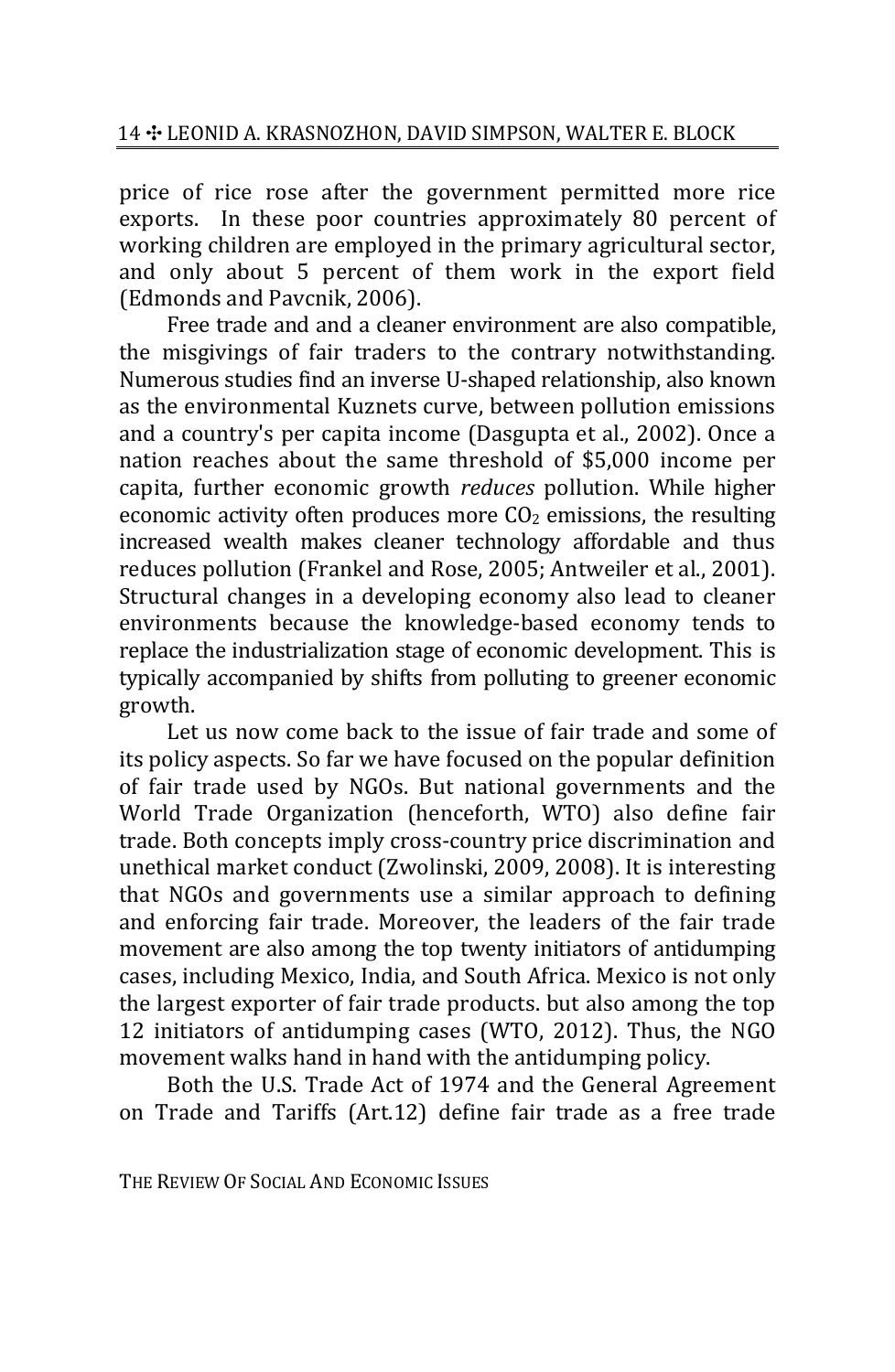price of rice rose after the government permitted more rice exports. In these poor countries approximately 80 percent of working children are employed in the primary agricultural sector, and only about 5 percent of them work in the export field (Edmonds and Pavcnik, 2006).

Free trade and and a cleaner environment are also compatible, the misgivings of fair traders to the contrary notwithstanding. Numerous studies find an inverse U‐shaped relationship, also known as the environmental Kuznets curve, between pollution emissions and a country's per capita income (Dasgupta et al., 2002). Once a nation reaches about the same threshold of \$5,000 income per capita, further economic growth *reduces* pollution. While higher economic activity often produces more  $CO<sub>2</sub>$  emissions, the resulting increased wealth makes cleaner technology affordable and thus reduces pollution (Frankel and Rose, 2005; Antweiler et al., 2001). Structural changes in a developing economy also lead to cleaner environments because the knowledge‐based economy tends to replace the industrialization stage of economic development. This is typically accompanied by shifts from polluting to greener economic growth.

Let us now come back to the issue of fair trade and some of its policy aspects. So far we have focused on the popular definition of fair trade used by NGOs. But national governments and the World Trade Organization (henceforth, WTO) also define fair trade. Both concepts imply cross‐country price discrimination and unethical market conduct (Zwolinski, 2009, 2008). It is interesting that NGOs and governments use a similar approach to defining and enforcing fair trade. Moreover, the leaders of the fair trade movement are also among the top twenty initiators of antidumping cases, including Mexico, India, and South Africa. Mexico is not only the largest exporter of fair trade products. but also among the top 12 initiators of antidumping cases (WTO, 2012). Thus, the NGO movement walks hand in hand with the antidumping policy.

Both the U.S. Trade Act of 1974 and the General Agreement on Trade and Tariffs (Art.12) define fair trade as a free trade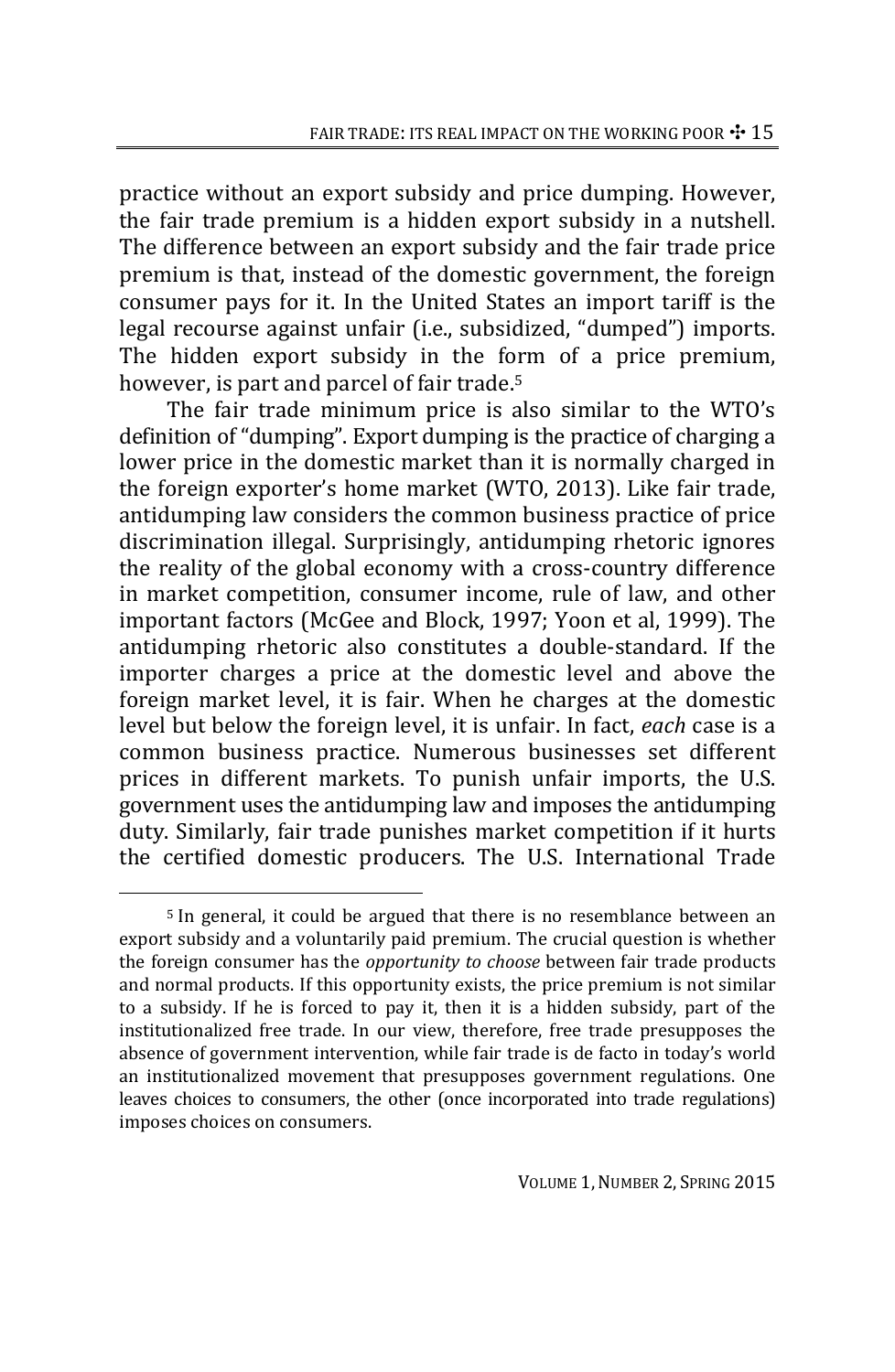practice without an export subsidy and price dumping. However, the fair trade premium is a hidden export subsidy in a nutshell. The difference between an export subsidy and the fair trade price premium is that, instead of the domestic government, the foreign consumer pays for it. In the United States an import tariff is the legal recourse against unfair (i.e., subsidized, "dumped") imports. The hidden export subsidy in the form of a price premium, however, is part and parcel of fair trade.<sup>5</sup>

The fair trade minimum price is also similar to the WTO's definition of "dumping". Export dumping is the practice of charging a lower price in the domestic market than it is normally charged in the foreign exporter's home market (WTO, 2013). Like fair trade, antidumping law considers the common business practice of price discrimination illegal. Surprisingly, antidumping rhetoric ignores the reality of the global economy with a cross‐country difference in market competition, consumer income, rule of law, and other important factors (McGee and Block, 1997; Yoon et al, 1999). The antidumping rhetoric also constitutes a double‐standard. If the importer charges a price at the domestic level and above the foreign market level, it is fair. When he charges at the domestic level but below the foreign level, it is unfair. In fact, *each* case is a common business practice. Numerous businesses set different prices in different markets. To punish unfair imports, the U.S. government uses the antidumping law and imposes the antidumping duty. Similarly, fair trade punishes market competition if it hurts the certified domestic producers. The U.S. International Trade

<sup>5</sup> In general, it could be argued that there is no resemblance between an export subsidy and a voluntarily paid premium. The crucial question is whether the foreign consumer has the *opportunity to choose* between fair trade products and normal products. If this opportunity exists, the price premium is not similar to a subsidy. If he is forced to pay it, then it is a hidden subsidy, part of the institutionalized free trade. In our view, therefore, free trade presupposes the absence of government intervention, while fair trade is de facto in today's world an institutionalized movement that presupposes government regulations. One leaves choices to consumers, the other (once incorporated into trade regulations) imposes choices on consumers.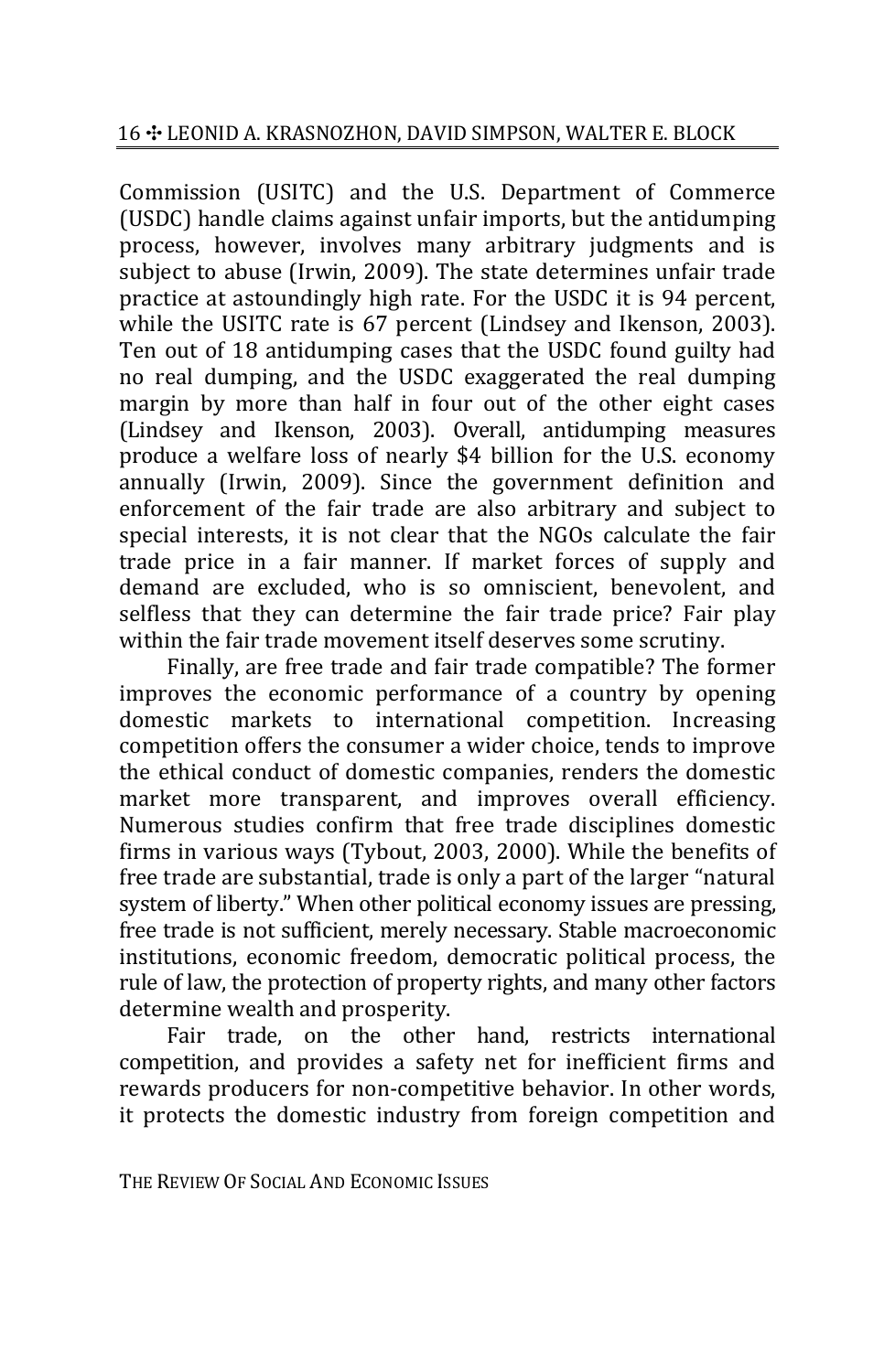Commission (USITC) and the U.S. Department of Commerce (USDC) handle claims against unfair imports, but the antidumping process, however, involves many arbitrary judgments and is subject to abuse (Irwin, 2009). The state determines unfair trade practice at astoundingly high rate. For the USDC it is 94 percent, while the USITC rate is 67 percent (Lindsey and Ikenson, 2003). Ten out of 18 antidumping cases that the USDC found guilty had no real dumping, and the USDC exaggerated the real dumping margin by more than half in four out of the other eight cases (Lindsey and Ikenson, 2003). Overall, antidumping measures produce a welfare loss of nearly \$4 billion for the U.S. economy annually (Irwin, 2009). Since the government definition and enforcement of the fair trade are also arbitrary and subject to special interests, it is not clear that the NGOs calculate the fair trade price in a fair manner. If market forces of supply and demand are excluded, who is so omniscient, benevolent, and selfless that they can determine the fair trade price? Fair play within the fair trade movement itself deserves some scrutiny.

Finally, are free trade and fair trade compatible? The former improves the economic performance of a country by opening domestic markets to international competition. Increasing competition offers the consumer a wider choice, tends to improve the ethical conduct of domestic companies, renders the domestic market more transparent, and improves overall efficiency. Numerous studies confirm that free trade disciplines domestic firms in various ways (Tybout, 2003, 2000). While the benefits of free trade are substantial, trade is only a part of the larger "natural system of liberty." When other political economy issues are pressing, free trade is not sufficient, merely necessary. Stable macroeconomic institutions, economic freedom, democratic political process, the rule of law, the protection of property rights, and many other factors determine wealth and prosperity.

Fair trade, on the other hand, restricts international competition, and provides a safety net for inefficient firms and rewards producers for non-competitive behavior. In other words, it protects the domestic industry from foreign competition and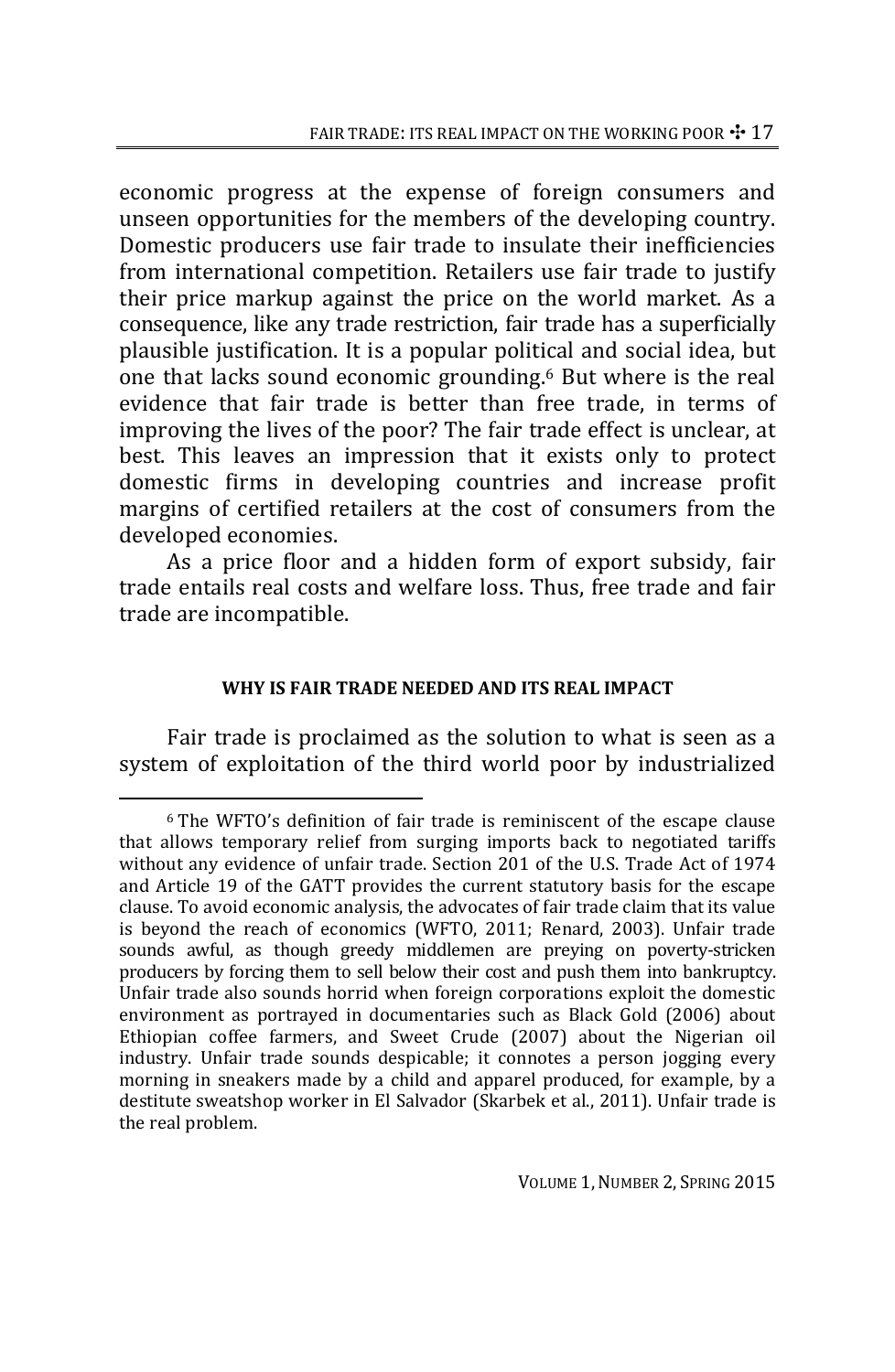economic progress at the expense of foreign consumers and unseen opportunities for the members of the developing country. Domestic producers use fair trade to insulate their inefficiencies from international competition. Retailers use fair trade to justify their price markup against the price on the world market. As a consequence, like any trade restriction, fair trade has a superficially plausible justification. It is a popular political and social idea, but one that lacks sound economic grounding.6 But where is the real evidence that fair trade is better than free trade, in terms of improving the lives of the poor? The fair trade effect is unclear, at best. This leaves an impression that it exists only to protect domestic firms in developing countries and increase profit margins of certified retailers at the cost of consumers from the developed economies.

As a price floor and a hidden form of export subsidy, fair trade entails real costs and welfare loss. Thus, free trade and fair trade are incompatible.

# **WHY IS FAIR TRADE NEEDED AND ITS REAL IMPACT**

Fair trade is proclaimed as the solution to what is seen as a system of exploitation of the third world poor by industrialized

<sup>6</sup> The WFTO's definition of fair trade is reminiscent of the escape clause that allows temporary relief from surging imports back to negotiated tariffs without any evidence of unfair trade. Section 201 of the U.S. Trade Act of 1974 and Article 19 of the GATT provides the current statutory basis for the escape clause. To avoid economic analysis, the advocates of fair trade claim that its value is beyond the reach of economics (WFTO, 2011; Renard, 2003). Unfair trade sounds awful, as though greedy middlemen are preying on poverty-stricken producers by forcing them to sell below their cost and push them into bankruptcy. Unfair trade also sounds horrid when foreign corporations exploit the domestic environment as portrayed in documentaries such as Black Gold (2006) about Ethiopian coffee farmers, and Sweet Crude (2007) about the Nigerian oil industry. Unfair trade sounds despicable; it connotes a person jogging every morning in sneakers made by a child and apparel produced, for example, by a destitute sweatshop worker in El Salvador (Skarbek et al., 2011). Unfair trade is the real problem.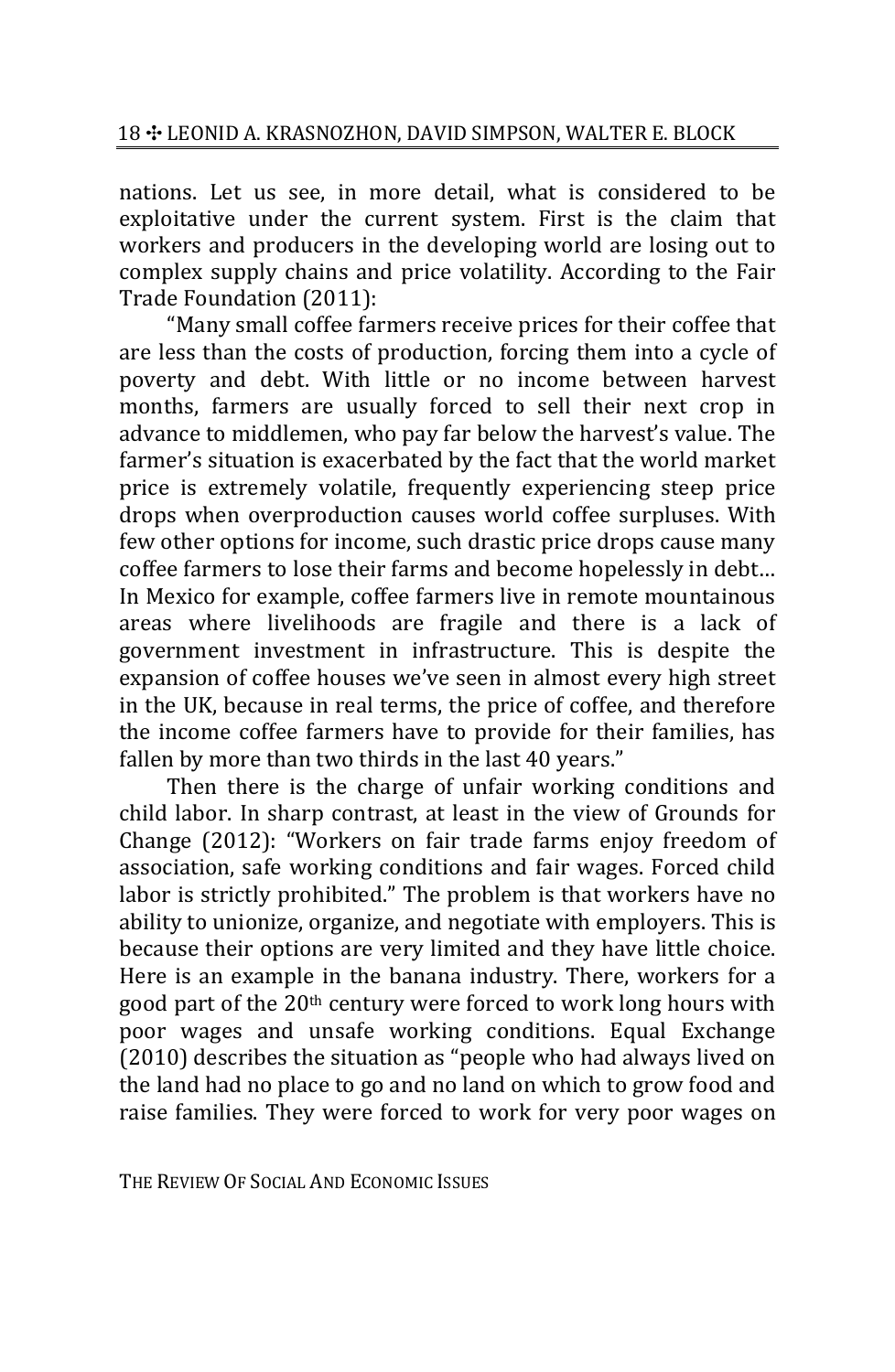nations. Let us see, in more detail, what is considered to be exploitative under the current system. First is the claim that workers and producers in the developing world are losing out to complex supply chains and price volatility. According to the Fair Trade Foundation (2011):

"Many small coffee farmers receive prices for their coffee that are less than the costs of production, forcing them into a cycle of poverty and debt. With little or no income between harvest months, farmers are usually forced to sell their next crop in advance to middlemen, who pay far below the harvest's value. The farmer's situation is exacerbated by the fact that the world market price is extremely volatile, frequently experiencing steep price drops when overproduction causes world coffee surpluses. With few other options for income, such drastic price drops cause many coffee farmers to lose their farms and become hopelessly in debt… In Mexico for example, coffee farmers live in remote mountainous areas where livelihoods are fragile and there is a lack of government investment in infrastructure. This is despite the expansion of coffee houses we've seen in almost every high street in the UK, because in real terms, the price of coffee, and therefore the income coffee farmers have to provide for their families, has fallen by more than two thirds in the last 40 years."

Then there is the charge of unfair working conditions and child labor. In sharp contrast, at least in the view of Grounds for Change (2012): "Workers on fair trade farms enjoy freedom of association, safe working conditions and fair wages. Forced child labor is strictly prohibited." The problem is that workers have no ability to unionize, organize, and negotiate with employers. This is because their options are very limited and they have little choice. Here is an example in the banana industry. There, workers for a good part of the 20th century were forced to work long hours with poor wages and unsafe working conditions. Equal Exchange (2010) describes the situation as "people who had always lived on the land had no place to go and no land on which to grow food and raise families. They were forced to work for very poor wages on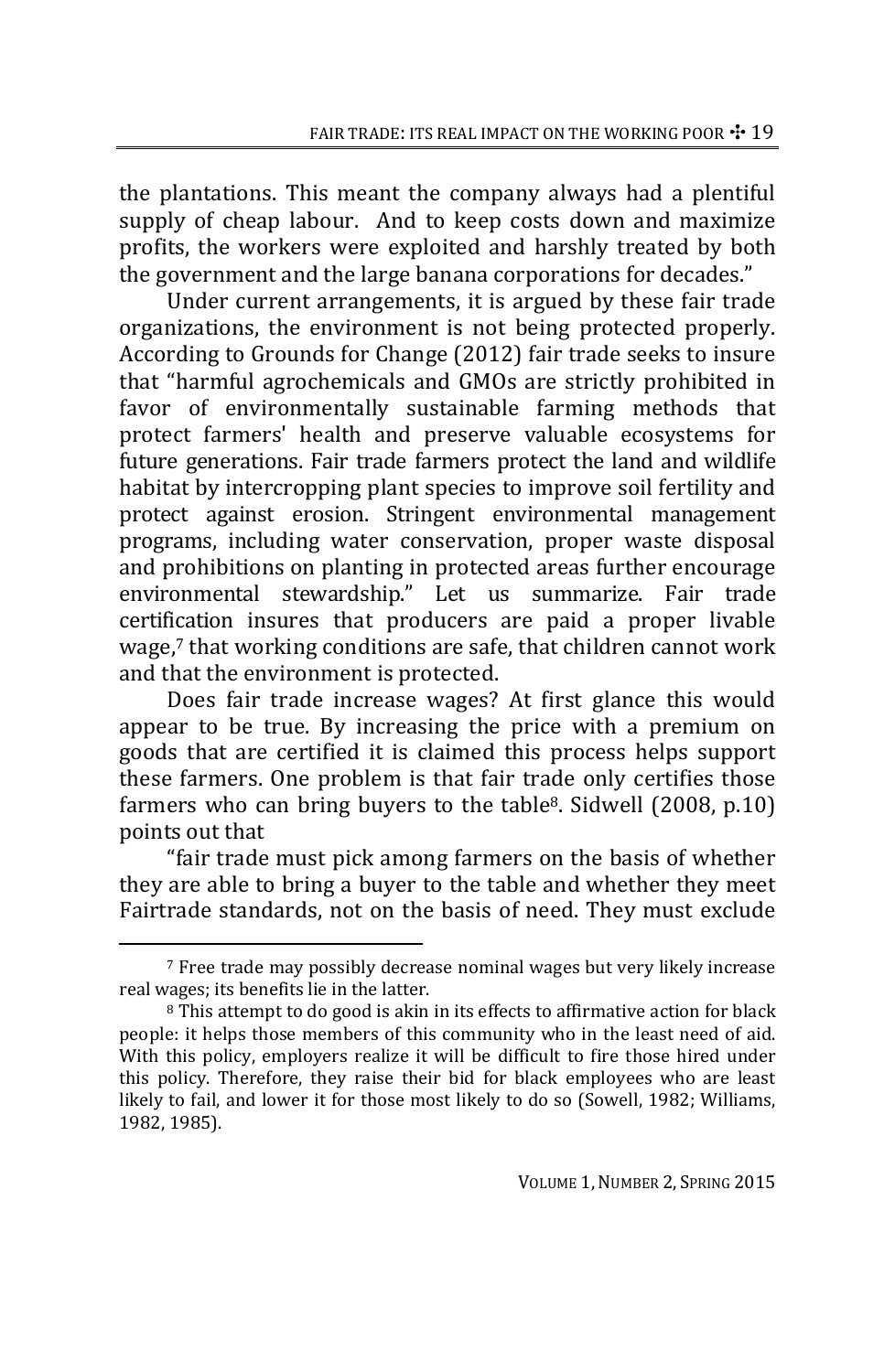the plantations. This meant the company always had a plentiful supply of cheap labour. And to keep costs down and maximize profits, the workers were exploited and harshly treated by both the government and the large banana corporations for decades."

Under current arrangements, it is argued by these fair trade organizations, the environment is not being protected properly. According to Grounds for Change (2012) fair trade seeks to insure that "harmful agrochemicals and GMOs are strictly prohibited in favor of environmentally sustainable farming methods that protect farmers' health and preserve valuable ecosystems for future generations. Fair trade farmers protect the land and wildlife habitat by intercropping plant species to improve soil fertility and protect against erosion. Stringent environmental management programs, including water conservation, proper waste disposal and prohibitions on planting in protected areas further encourage environmental stewardship." Let us summarize. Fair trade certification insures that producers are paid a proper livable wage,7 that working conditions are safe, that children cannot work and that the environment is protected.

Does fair trade increase wages? At first glance this would appear to be true. By increasing the price with a premium on goods that are certified it is claimed this process helps support these farmers. One problem is that fair trade only certifies those farmers who can bring buyers to the  $table<sup>8</sup>$ . Sidwell  $(2008, p.10)$ points out that

"fair trade must pick among farmers on the basis of whether they are able to bring a buyer to the table and whether they meet Fairtrade standards, not on the basis of need. They must exclude

<sup>7</sup> Free trade may possibly decrease nominal wages but very likely increase real wages; its benefits lie in the latter.

<sup>8</sup> This attempt to do good is akin in its effects to affirmative action for black people: it helps those members of this community who in the least need of aid. With this policy, employers realize it will be difficult to fire those hired under this policy. Therefore, they raise their bid for black employees who are least likely to fail, and lower it for those most likely to do so (Sowell, 1982; Williams, 1982, 1985).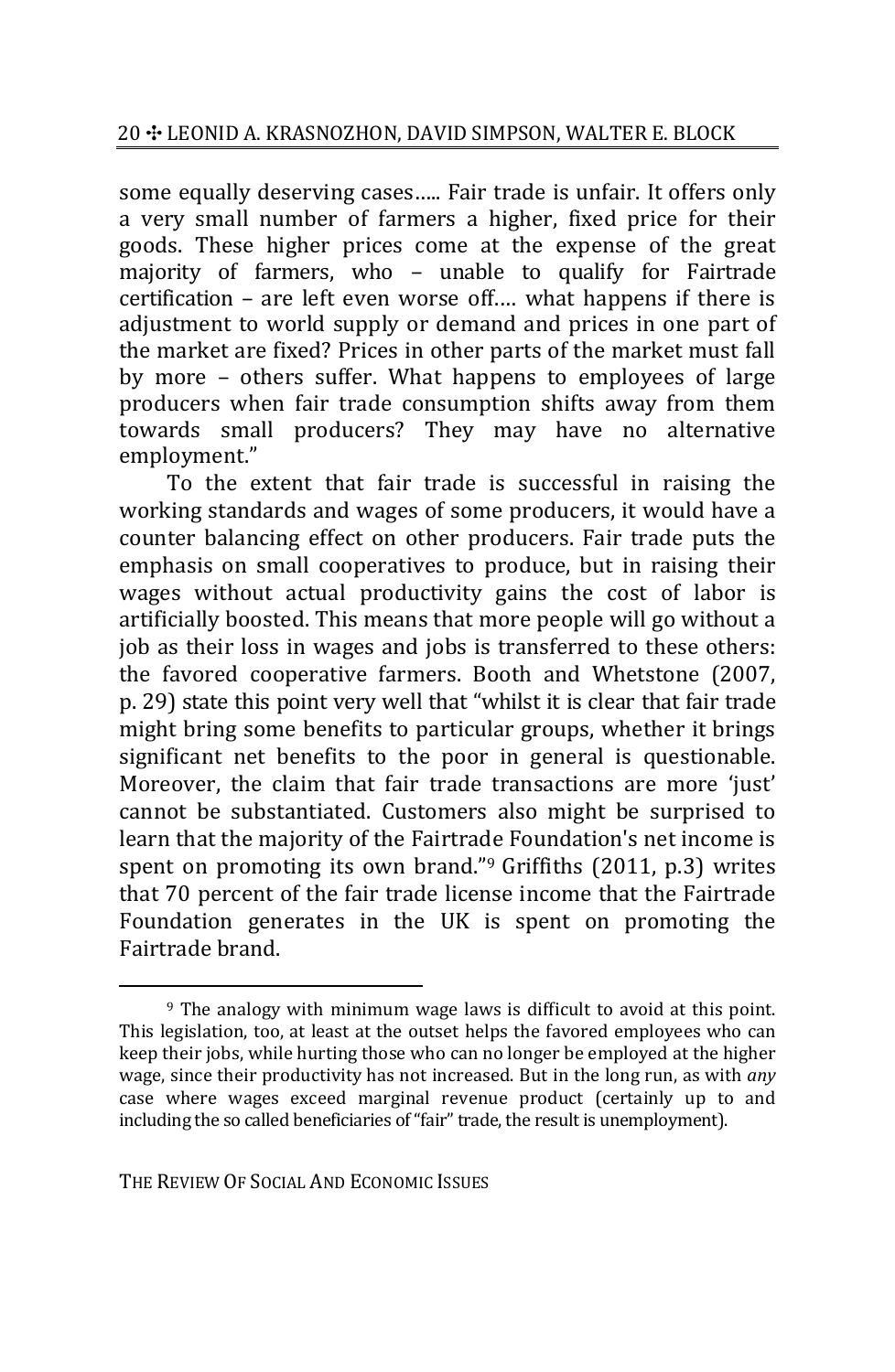some equally deserving cases….. Fair trade is unfair. It offers only a very small number of farmers a higher, fixed price for their goods. These higher prices come at the expense of the great majority of farmers, who – unable to qualify for Fairtrade certification – are left even worse off.… what happens if there is adjustment to world supply or demand and prices in one part of the market are fixed? Prices in other parts of the market must fall by more – others suffer. What happens to employees of large producers when fair trade consumption shifts away from them towards small producers? They may have no alternative employment."

To the extent that fair trade is successful in raising the working standards and wages of some producers, it would have a counter balancing effect on other producers. Fair trade puts the emphasis on small cooperatives to produce, but in raising their wages without actual productivity gains the cost of labor is artificially boosted. This means that more people will go without a job as their loss in wages and jobs is transferred to these others: the favored cooperative farmers. Booth and Whetstone (2007, p. 29) state this point very well that "whilst it is clear that fair trade might bring some benefits to particular groups, whether it brings significant net benefits to the poor in general is questionable. Moreover, the claim that fair trade transactions are more 'just' cannot be substantiated. Customers also might be surprised to learn that the majority of the Fairtrade Foundation's net income is spent on promoting its own brand."<sup>9</sup> Griffiths (2011, p.3) writes that 70 percent of the fair trade license income that the Fairtrade Foundation generates in the UK is spent on promoting the Fairtrade brand.

<sup>9</sup> The analogy with minimum wage laws is difficult to avoid at this point. This legislation, too, at least at the outset helps the favored employees who can keep their jobs, while hurting those who can no longer be employed at the higher wage, since their productivity has not increased. But in the long run, as with *any* case where wages exceed marginal revenue product (certainly up to and including the so called beneficiaries of "fair" trade, the result is unemployment).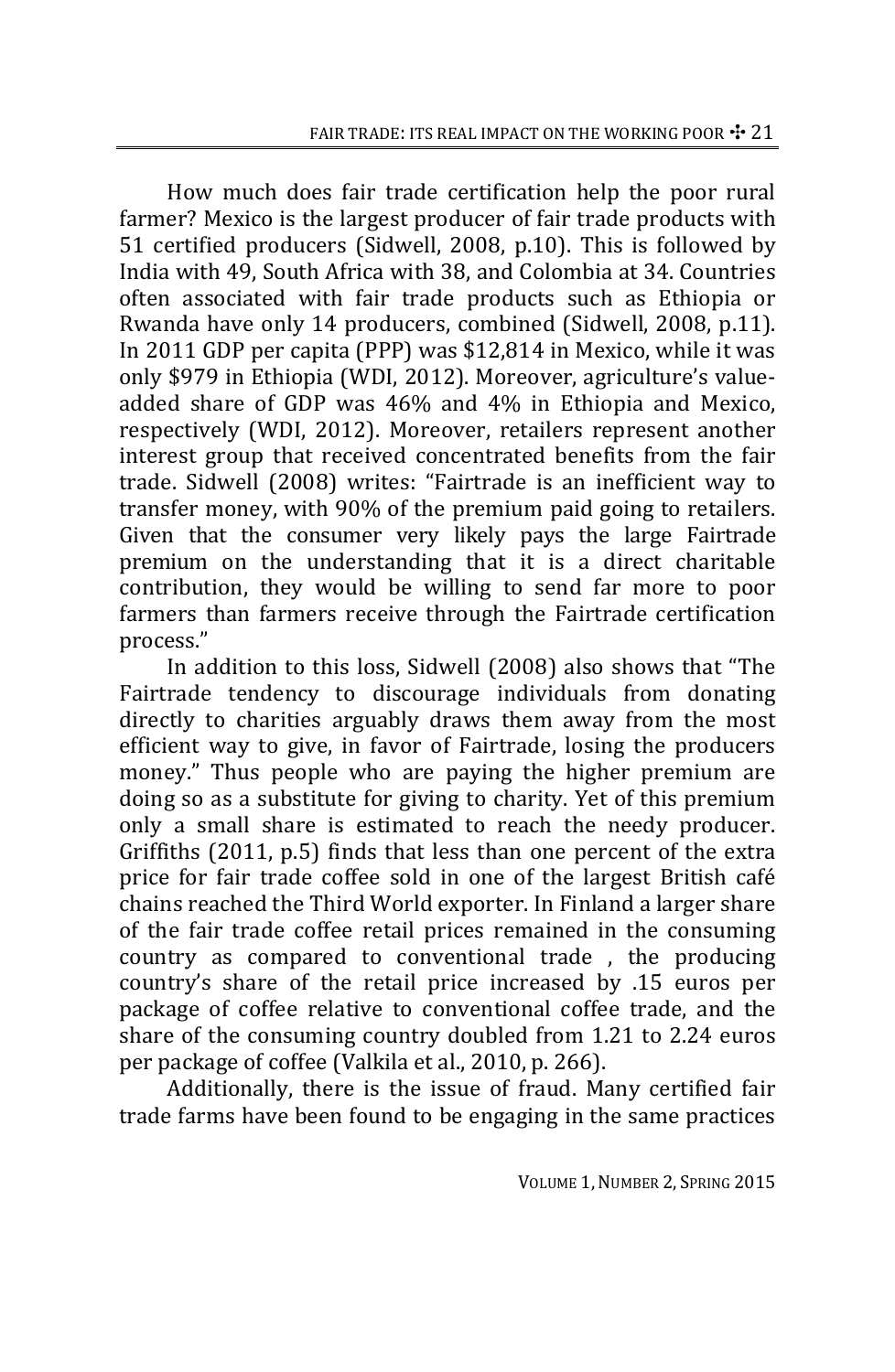How much does fair trade certification help the poor rural farmer? Mexico is the largest producer of fair trade products with 51 certified producers (Sidwell, 2008, p.10). This is followed by India with 49, South Africa with 38, and Colombia at 34. Countries often associated with fair trade products such as Ethiopia or Rwanda have only 14 producers, combined (Sidwell, 2008, p.11). In 2011 GDP per capita (PPP) was \$12,814 in Mexico, while it was only \$979 in Ethiopia (WDI, 2012). Moreover, agriculture's value‐ added share of GDP was 46% and 4% in Ethiopia and Mexico, respectively (WDI, 2012). Moreover, retailers represent another interest group that received concentrated benefits from the fair trade. Sidwell (2008) writes: "Fairtrade is an inefficient way to transfer money, with 90% of the premium paid going to retailers. Given that the consumer very likely pays the large Fairtrade premium on the understanding that it is a direct charitable contribution, they would be willing to send far more to poor farmers than farmers receive through the Fairtrade certification process."

In addition to this loss, Sidwell (2008) also shows that "The Fairtrade tendency to discourage individuals from donating directly to charities arguably draws them away from the most efficient way to give, in favor of Fairtrade, losing the producers money." Thus people who are paying the higher premium are doing so as a substitute for giving to charity. Yet of this premium only a small share is estimated to reach the needy producer. Griffiths (2011, p.5) finds that less than one percent of the extra price for fair trade coffee sold in one of the largest British café chains reached the Third World exporter. In Finland a larger share of the fair trade coffee retail prices remained in the consuming country as compared to conventional trade , the producing country's share of the retail price increased by .15 euros per package of coffee relative to conventional coffee trade, and the share of the consuming country doubled from 1.21 to 2.24 euros per package of coffee (Valkila et al., 2010, p. 266).

Additionally, there is the issue of fraud. Many certified fair trade farms have been found to be engaging in the same practices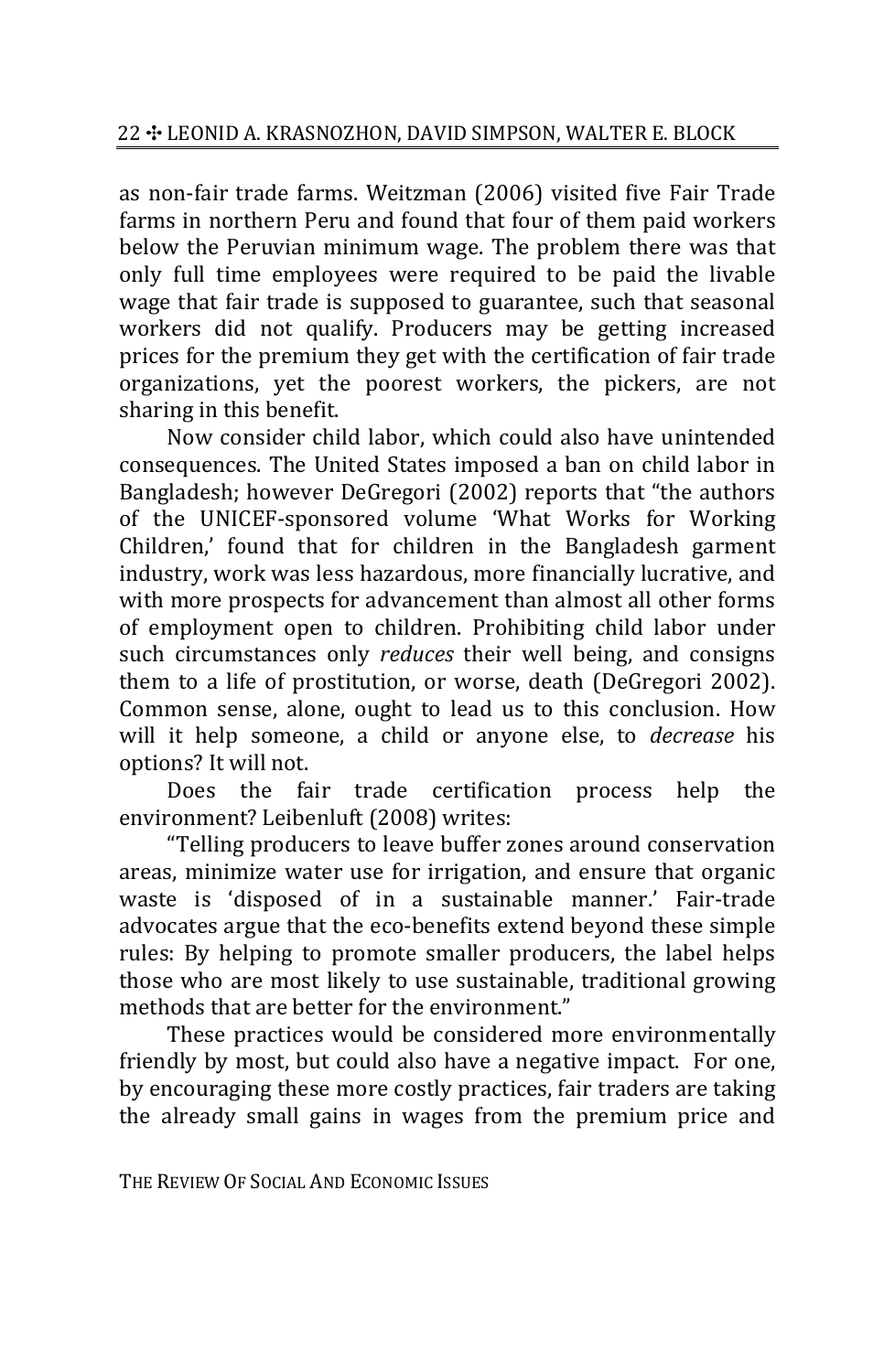as non‐fair trade farms. Weitzman (2006) visited five Fair Trade farms in northern Peru and found that four of them paid workers below the Peruvian minimum wage. The problem there was that only full time employees were required to be paid the livable wage that fair trade is supposed to guarantee, such that seasonal workers did not qualify. Producers may be getting increased prices for the premium they get with the certification of fair trade organizations, yet the poorest workers, the pickers, are not sharing in this benefit.

Now consider child labor, which could also have unintended consequences. The United States imposed a ban on child labor in Bangladesh; however DeGregori (2002) reports that "the authors of the UNICEF‐sponsored volume 'What Works for Working Children,' found that for children in the Bangladesh garment industry, work was less hazardous, more financially lucrative, and with more prospects for advancement than almost all other forms of employment open to children. Prohibiting child labor under such circumstances only *reduces* their well being, and consigns them to a life of prostitution, or worse, death (DeGregori 2002). Common sense, alone, ought to lead us to this conclusion. How will it help someone, a child or anyone else, to *decrease* his options? It will not.

Does the fair trade certification process help the environment? Leibenluft (2008) writes:

"Telling producers to leave buffer zones around conservation areas, minimize water use for irrigation, and ensure that organic waste is 'disposed of in a sustainable manner.' Fair‐trade advocates argue that the eco‐benefits extend beyond these simple rules: By helping to promote smaller producers, the label helps those who are most likely to use sustainable, traditional growing methods that are better for the environment."

These practices would be considered more environmentally friendly by most, but could also have a negative impact. For one, by encouraging these more costly practices, fair traders are taking the already small gains in wages from the premium price and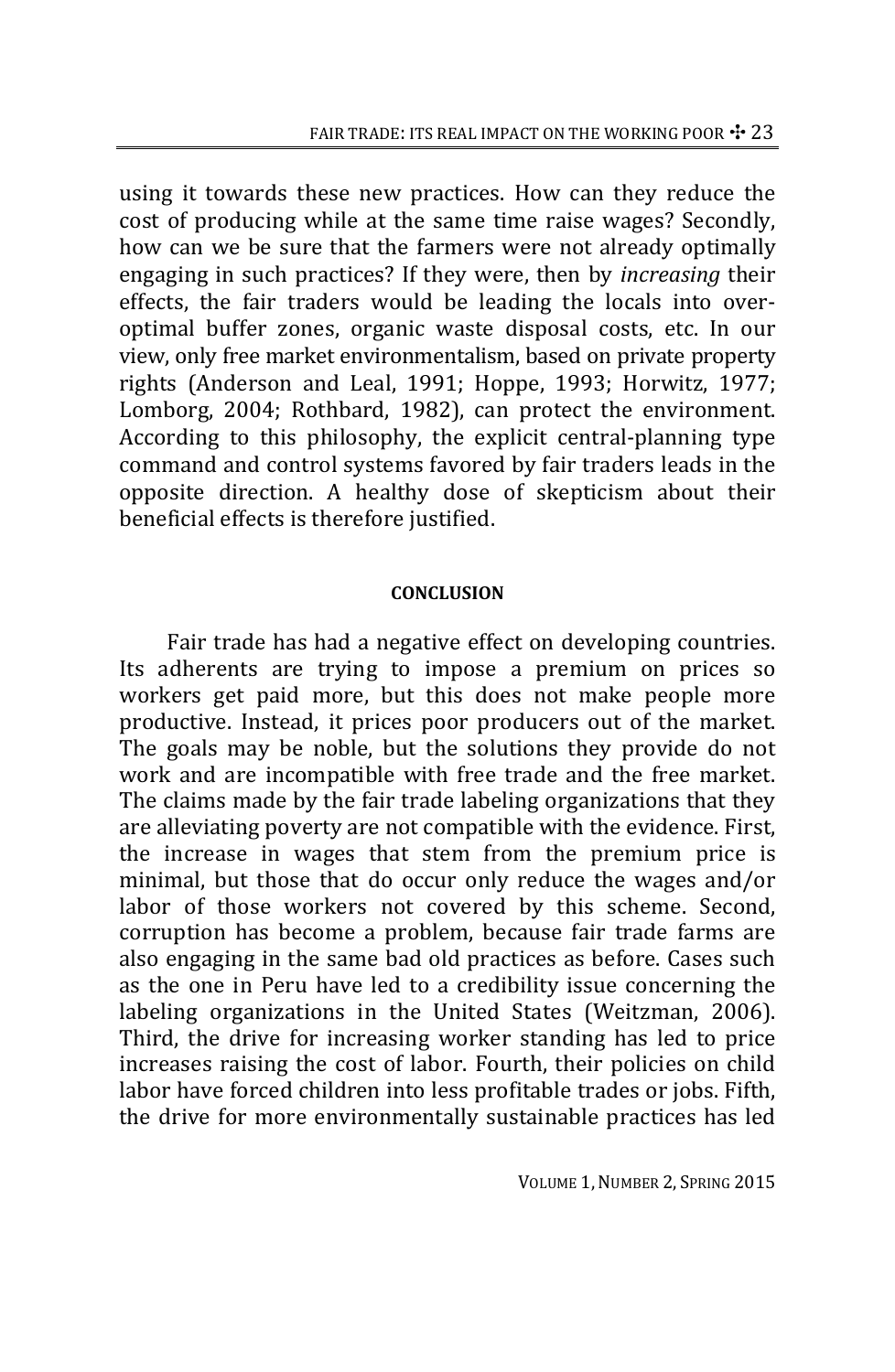using it towards these new practices. How can they reduce the cost of producing while at the same time raise wages? Secondly, how can we be sure that the farmers were not already optimally engaging in such practices? If they were, then by *increasing* their effects, the fair traders would be leading the locals into over‐ optimal buffer zones, organic waste disposal costs, etc. In our view, only free market environmentalism, based on private property rights (Anderson and Leal, 1991; Hoppe, 1993; Horwitz, 1977; Lomborg, 2004; Rothbard, 1982), can protect the environment. According to this philosophy, the explicit central‐planning type command and control systems favored by fair traders leads in the opposite direction. A healthy dose of skepticism about their beneficial effects is therefore justified.

# **CONCLUSION**

Fair trade has had a negative effect on developing countries. Its adherents are trying to impose a premium on prices so workers get paid more, but this does not make people more productive. Instead, it prices poor producers out of the market. The goals may be noble, but the solutions they provide do not work and are incompatible with free trade and the free market. The claims made by the fair trade labeling organizations that they are alleviating poverty are not compatible with the evidence. First, the increase in wages that stem from the premium price is minimal, but those that do occur only reduce the wages and/or labor of those workers not covered by this scheme. Second, corruption has become a problem, because fair trade farms are also engaging in the same bad old practices as before. Cases such as the one in Peru have led to a credibility issue concerning the labeling organizations in the United States (Weitzman, 2006). Third, the drive for increasing worker standing has led to price increases raising the cost of labor. Fourth, their policies on child labor have forced children into less profitable trades or jobs. Fifth, the drive for more environmentally sustainable practices has led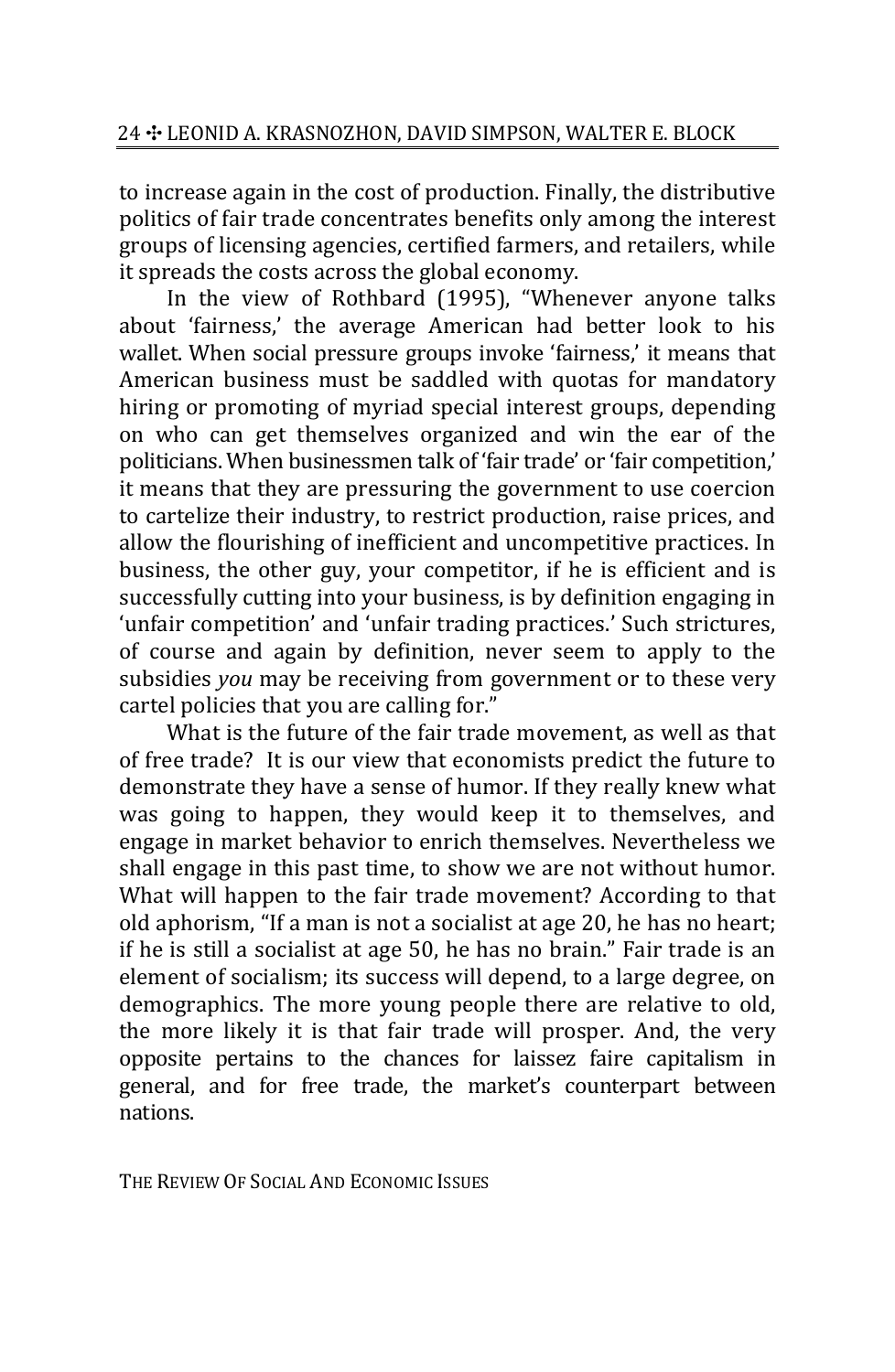to increase again in the cost of production. Finally, the distributive politics of fair trade concentrates benefits only among the interest groups of licensing agencies, certified farmers, and retailers, while it spreads the costs across the global economy.

In the view of Rothbard (1995), "Whenever anyone talks about 'fairness,' the average American had better look to his wallet. When social pressure groups invoke 'fairness,' it means that American business must be saddled with quotas for mandatory hiring or promoting of myriad special interest groups, depending on who can get themselves organized and win the ear of the politicians. When businessmen talk of 'fair trade' or 'fair competition,' it means that they are pressuring the government to use coercion to cartelize their industry, to restrict production, raise prices, and allow the flourishing of inefficient and uncompetitive practices. In business, the other guy, your competitor, if he is efficient and is successfully cutting into your business, is by definition engaging in 'unfair competition' and 'unfair trading practices.' Such strictures, of course and again by definition, never seem to apply to the subsidies *you* may be receiving from government or to these very cartel policies that you are calling for."

What is the future of the fair trade movement, as well as that of free trade? It is our view that economists predict the future to demonstrate they have a sense of humor. If they really knew what was going to happen, they would keep it to themselves, and engage in market behavior to enrich themselves. Nevertheless we shall engage in this past time, to show we are not without humor. What will happen to the fair trade movement? According to that old aphorism, "If a man is not a socialist at age 20, he has no heart; if he is still a socialist at age 50, he has no brain." Fair trade is an element of socialism; its success will depend, to a large degree, on demographics. The more young people there are relative to old, the more likely it is that fair trade will prosper. And, the very opposite pertains to the chances for laissez faire capitalism in general, and for free trade, the market's counterpart between nations.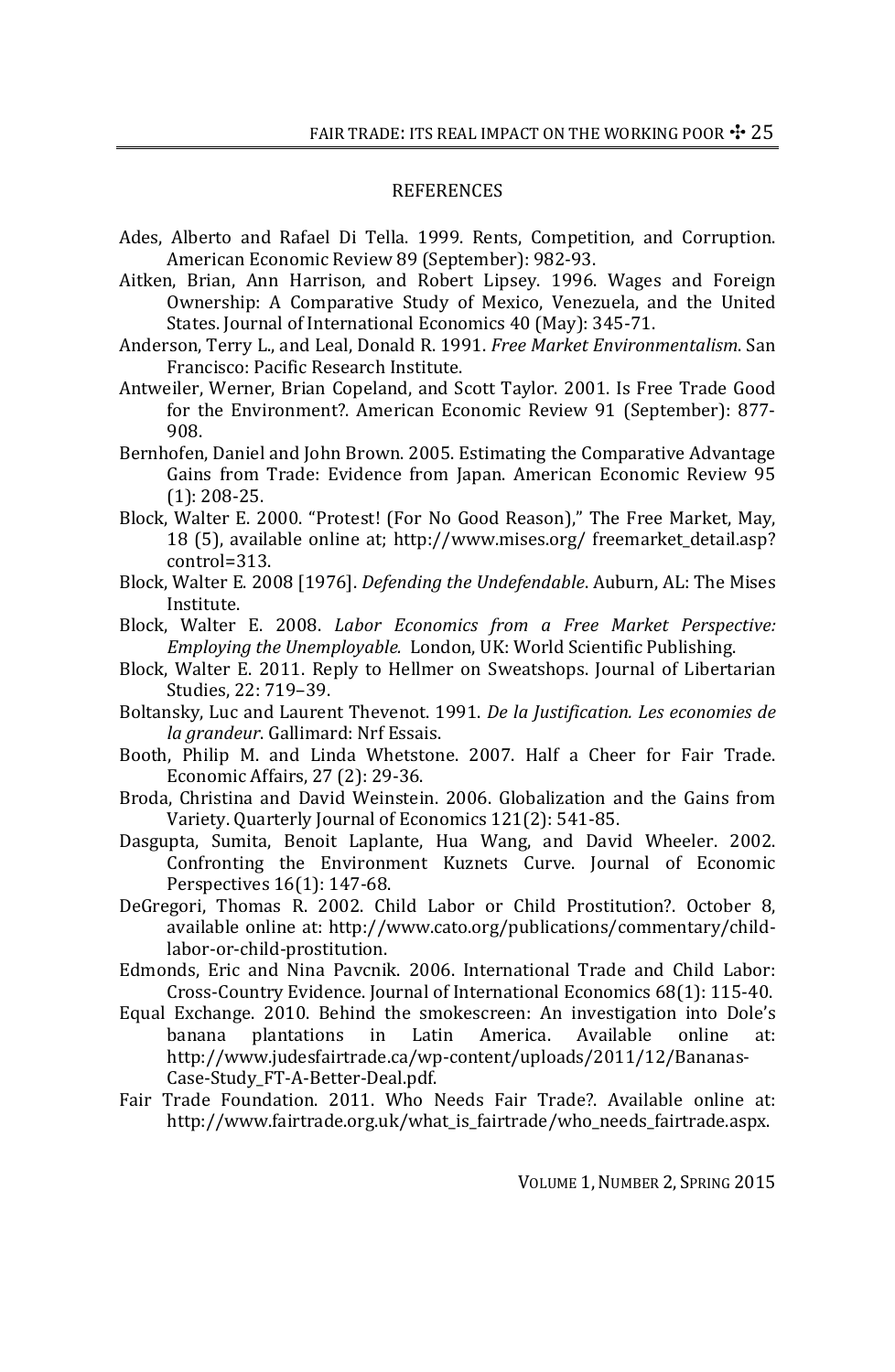#### **REFERENCES**

- Ades, Alberto and Rafael Di Tella. 1999. Rents, Competition, and Corruption. American Economic Review 89 (September): 982‐93.
- Aitken, Brian, Ann Harrison, and Robert Lipsey. 1996. Wages and Foreign Ownership: A Comparative Study of Mexico, Venezuela, and the United States. Journal of International Economics 40 (May): 345‐71.
- Anderson, Terry L., and Leal, Donald R. 1991. *Free Market Environmentalism*. San Francisco: Pacific Research Institute.
- Antweiler, Werner, Brian Copeland, and Scott Taylor. 2001. Is Free Trade Good for the Environment?. American Economic Review 91 (September): 877‐ 908.
- Bernhofen, Daniel and John Brown. 2005. Estimating the Comparative Advantage Gains from Trade: Evidence from Japan. American Economic Review 95 (1): 208‐25.
- Block, Walter E. 2000. "Protest! (For No Good Reason)," The Free Market, May, 18 (5), available online at; http://www.mises.org/ freemarket\_detail.asp? control=313.
- Block, Walter E. 2008 [1976]. *Defending the Undefendable*. Auburn, AL: The Mises Institute.
- Block, Walter E. 2008. *Labor Economics from a Free Market Perspective: Employing the Unemployable.* London, UK: World Scientific Publishing.
- Block, Walter E. 2011. Reply to Hellmer on Sweatshops. Journal of Libertarian Studies, 22: 719–39.
- Boltansky, Luc and Laurent Thevenot. 1991. *De la Justification. Les economies de la grandeur*. Gallimard: Nrf Essais.
- Booth, Philip M. and Linda Whetstone. 2007. Half a Cheer for Fair Trade. Economic Affairs, 27 (2): 29‐36.
- Broda, Christina and David Weinstein. 2006. Globalization and the Gains from Variety. Quarterly Journal of Economics 121(2): 541‐85.
- Dasgupta, Sumita, Benoit Laplante, Hua Wang, and David Wheeler. 2002. Confronting the Environment Kuznets Curve. Journal of Economic Perspectives 16(1): 147‐68.
- DeGregori, Thomas R. 2002. Child Labor or Child Prostitution?. October 8, available online at: http://www.cato.org/publications/commentary/child‐ labor‐or‐child‐prostitution.
- Edmonds, Eric and Nina Pavcnik. 2006. International Trade and Child Labor: Cross‐Country Evidence. Journal of International Economics 68(1): 115‐40.
- Equal Exchange. 2010. Behind the smokescreen: An investigation into Dole's banana plantations in Latin America. Available online at: http://www.judesfairtrade.ca/wp‐content/uploads/2011/12/Bananas‐ Case‐Study\_FT‐A‐Better‐Deal.pdf.
- Fair Trade Foundation. 2011. Who Needs Fair Trade?. Available online at: http://www.fairtrade.org.uk/what\_is\_fairtrade/who\_needs\_fairtrade.aspx.

VOLUME 1,NUMBER 2, SPRING 2015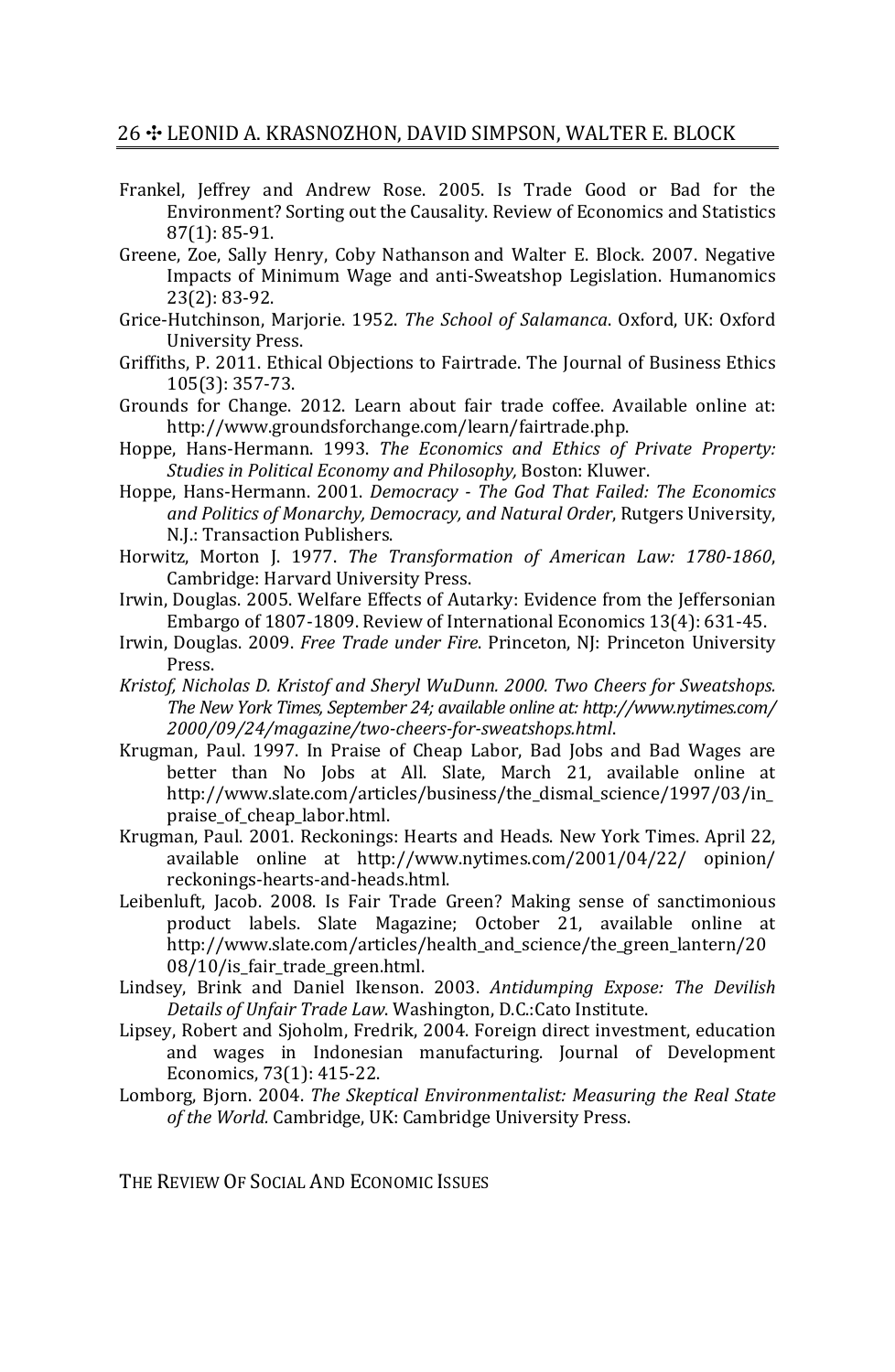## 26 + LEONID A. KRASNOZHON, DAVID SIMPSON, WALTER E. BLOCK

- Frankel, Jeffrey and Andrew Rose. 2005. Is Trade Good or Bad for the Environment? Sorting out the Causality. Review of Economics and Statistics 87(1): 85‐91.
- Greene, Zoe, Sally Henry, Coby Nathanson and Walter E. Block. 2007. Negative Impacts of Minimum Wage and anti‐Sweatshop Legislation. Humanomics 23(2): 83‐92.
- Grice‐Hutchinson, Marjorie. 1952. *The School of Salamanca*. Oxford, UK: Oxford University Press.
- Griffiths, P. 2011. Ethical Objections to Fairtrade. The Journal of Business Ethics 105(3): 357‐73.
- Grounds for Change. 2012. Learn about fair trade coffee. Available online at: http://www.groundsforchange.com/learn/fairtrade.php.
- Hoppe, Hans‐Hermann. 1993. *The Economics and Ethics of Private Property: Studies in Political Economy and Philosophy,* Boston: Kluwer.
- Hoppe, Hans‐Hermann. 2001. *Democracy The God That Failed: The Economics and Politics of Monarchy, Democracy, and Natural Order*, Rutgers University, N.J.: Transaction Publishers.
- Horwitz, Morton J. 1977. *The Transformation of American Law: 17801860*, Cambridge: Harvard University Press.
- Irwin, Douglas. 2005. Welfare Effects of Autarky: Evidence from the Jeffersonian Embargo of 1807‐1809. Review of International Economics 13(4): 631‐45.
- Irwin, Douglas. 2009. *Free Trade under Fire*. Princeton, NJ: Princeton University Press.
- *Kristof, Nicholas D. Kristof and Sheryl WuDunn. 2000. Two Cheers for Sweatshops. The New York Times, September 24; available online at: http://www.nytimes.com/ 2000/09/24/magazine/twocheersforsweatshops.html*.
- Krugman, Paul. 1997. In Praise of Cheap Labor, Bad Jobs and Bad Wages are better than No Jobs at All. Slate, March 21, available online at http://www.slate.com/articles/business/the\_dismal\_science/1997/03/in\_ praise\_of\_cheap\_labor.html.
- Krugman, Paul. 2001. Reckonings: Hearts and Heads. New York Times. April 22, available online at http://www.nytimes.com/2001/04/22/ opinion/ reckonings‐hearts‐and‐heads.html.
- Leibenluft, Jacob. 2008. Is Fair Trade Green? Making sense of sanctimonious product labels. Slate Magazine; October 21, available online at http://www.slate.com/articles/health\_and\_science/the\_green\_lantern/20 08/10/is\_fair\_trade\_green.html.
- Lindsey, Brink and Daniel Ikenson. 2003. *Antidumping Expose: The Devilish Details of Unfair Trade Law*. Washington, D.C.:Cato Institute.
- Lipsey, Robert and Sjoholm, Fredrik, 2004. Foreign direct investment, education and wages in Indonesian manufacturing. Journal of Development Economics, 73(1): 415‐22.
- Lomborg, Bjorn. 2004. *The Skeptical Environmentalist: Measuring the Real State of the World.* Cambridge, UK: Cambridge University Press.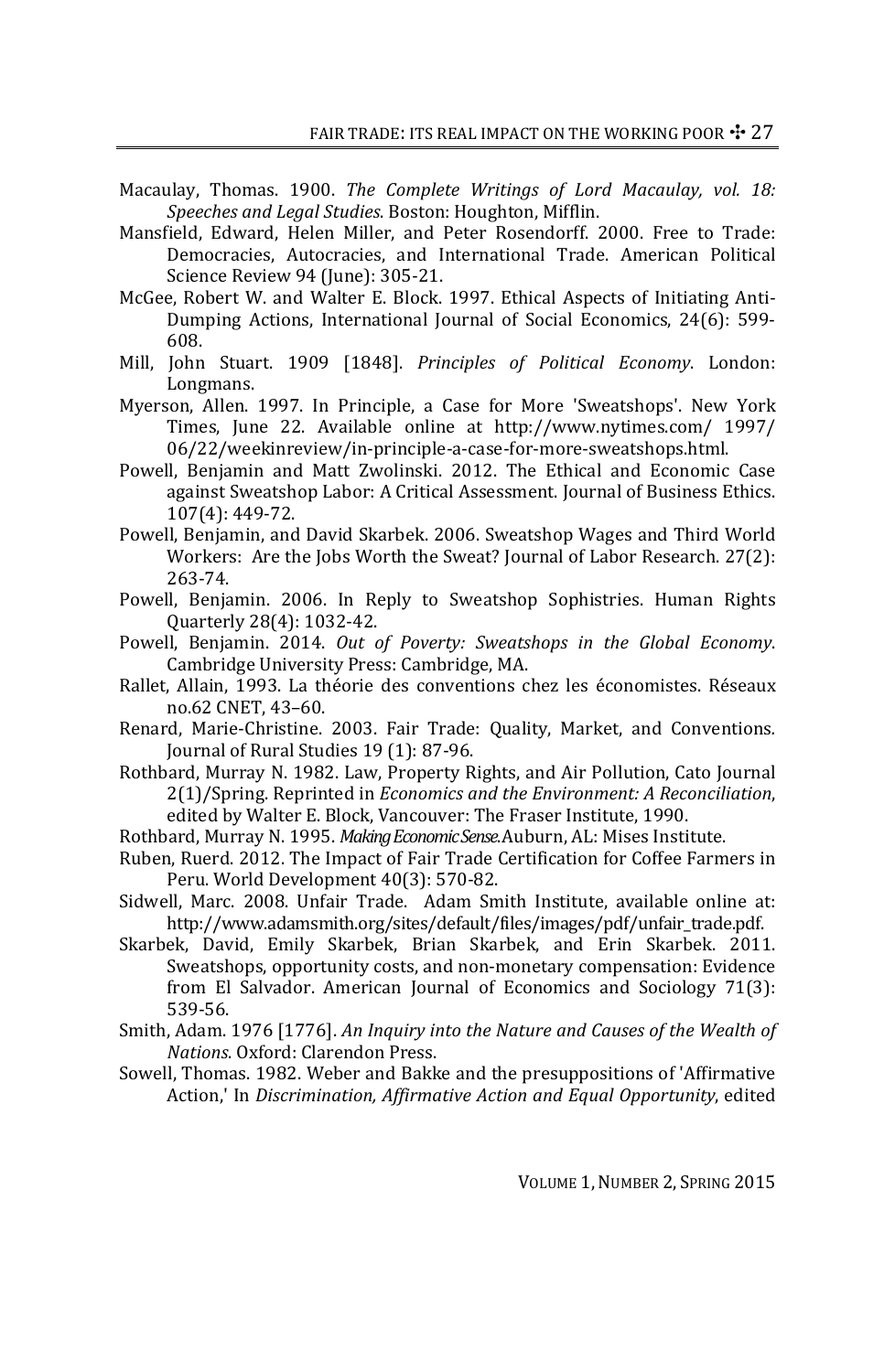- Macaulay, Thomas. 1900. *The Complete Writings of Lord Macaulay, vol. 18: Speeches and Legal Studies*. Boston: Houghton, Mifflin.
- Mansfield, Edward, Helen Miller, and Peter Rosendorff. 2000. Free to Trade: Democracies, Autocracies, and International Trade. American Political Science Review 94 (June): 305‐21.
- McGee, Robert W. and Walter E. Block. 1997. Ethical Aspects of Initiating Anti‐ Dumping Actions, International Journal of Social Economics, 24(6): 599-608.
- Mill, John Stuart. 1909 [1848]. *Principles of Political Economy*. London: Longmans.
- Myerson, Allen. 1997. In Principle, a Case for More 'Sweatshops'. New York Times, June 22. Available online at http://www.nytimes.com/ 1997/ 06/22/weekinreview/in‐principle‐a‐case‐for‐more‐sweatshops.html.
- Powell, Benjamin and Matt Zwolinski. 2012. The Ethical and Economic Case against Sweatshop Labor: A Critical Assessment. Journal of Business Ethics. 107(4): 449‐72.
- Powell, Benjamin, and David Skarbek. 2006. Sweatshop Wages and Third World Workers: Are the Jobs Worth the Sweat? Journal of Labor Research. 27(2): 263‐74.
- Powell, Benjamin. 2006. In Reply to Sweatshop Sophistries. Human Rights Quarterly 28(4): 1032‐42.
- Powell, Benjamin. 2014. *Out of Poverty: Sweatshops in the Global Economy*. Cambridge University Press: Cambridge, MA.
- Rallet, Allain, 1993. La théorie des conventions chez les économistes. Réseaux no.62 CNET, 43–60.
- Renard, Marie‐Christine. 2003. Fair Trade: Quality, Market, and Conventions*.* Journal of Rural Studies 19 (1): 87‐96.
- Rothbard, Murray N. 1982. Law, Property Rights, and Air Pollution, Cato Journal 2(1)/Spring. Reprinted in *Economics and the Environment: A Reconciliation*, edited by Walter E. Block, Vancouver: The Fraser Institute, 1990.
- Rothbard, Murray N. 1995. *MakingEconomicSense*. Auburn, AL: Mises Institute.
- Ruben, Ruerd. 2012. The Impact of Fair Trade Certification for Coffee Farmers in Peru. World Development 40(3): 570‐82.
- Sidwell, Marc. 2008. Unfair Trade. Adam Smith Institute, available online at: http://www.adamsmith.org/sites/default/files/images/pdf/unfair\_trade.pdf.
- Skarbek, David, Emily Skarbek, Brian Skarbek, and Erin Skarbek. 2011. Sweatshops, opportunity costs, and non‐monetary compensation: Evidence from El Salvador. American Journal of Economics and Sociology 71(3): 539‐56.
- Smith, Adam. 1976 [1776]. *An Inquiry into the Nature and Causes of the Wealth of Nations*. Oxford: Clarendon Press.
- Sowell, Thomas. 1982. Weber and Bakke and the presuppositions of 'Affirmative Action,' In *Discrimination, Affirmative Action and Equal Opportunity*, edited